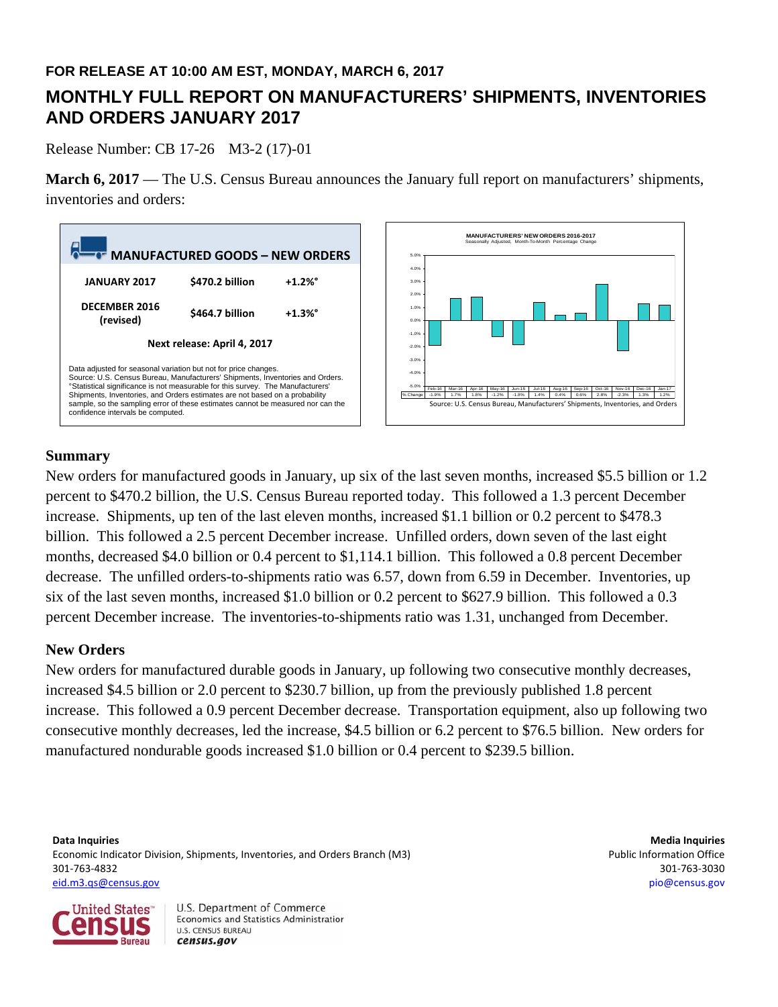## **FOR RELEASE AT 10:00 AM EST, MONDAY, MARCH 6, 2017**

# **MONTHLY FULL REPORT ON MANUFACTURERS' SHIPMENTS, INVENTORIES AND ORDERS JANUARY 2017**

Release Number: CB 17-26 M3-2 (17)-01

**March 6, 2017** — The U.S. Census Bureau announces the January full report on manufacturers' shipments, inventories and orders:





## **Summary**

New orders for manufactured goods in January, up six of the last seven months, increased \$5.5 billion or 1.2 percent to \$470.2 billion, the U.S. Census Bureau reported today. This followed a 1.3 percent December increase. Shipments, up ten of the last eleven months, increased \$1.1 billion or 0.2 percent to \$478.3 billion. This followed a 2.5 percent December increase. Unfilled orders, down seven of the last eight months, decreased \$4.0 billion or 0.4 percent to \$1,114.1 billion. This followed a 0.8 percent December decrease. The unfilled orders-to-shipments ratio was 6.57, down from 6.59 in December. Inventories, up six of the last seven months, increased \$1.0 billion or 0.2 percent to \$627.9 billion. This followed a 0.3 percent December increase. The inventories-to-shipments ratio was 1.31, unchanged from December.

## **New Orders**

New orders for manufactured durable goods in January, up following two consecutive monthly decreases, increased \$4.5 billion or 2.0 percent to \$230.7 billion, up from the previously published 1.8 percent increase. This followed a 0.9 percent December decrease. Transportation equipment, also up following two consecutive monthly decreases, led the increase, \$4.5 billion or 6.2 percent to \$76.5 billion. New orders for manufactured nondurable goods increased \$1.0 billion or 0.4 percent to \$239.5 billion.

**Data Inquiries Media Inquiries** Economic Indicator Division, Shipments, Inventories, and Orders Branch (M3) Public Information Office 301‐763‐4832 301‐763‐3030 eid.m3.qs@census.gov pio@census.gov

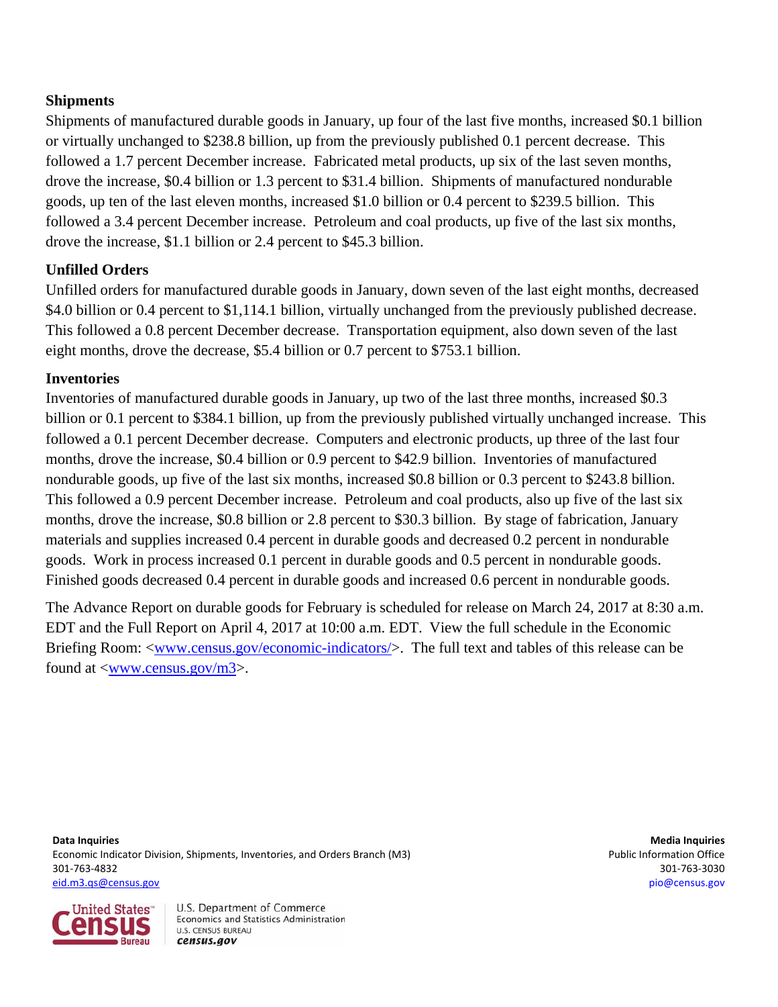## **Shipments**

Shipments of manufactured durable goods in January, up four of the last five months, increased \$0.1 billion or virtually unchanged to \$238.8 billion, up from the previously published 0.1 percent decrease. This followed a 1.7 percent December increase. Fabricated metal products, up six of the last seven months, drove the increase, \$0.4 billion or 1.3 percent to \$31.4 billion. Shipments of manufactured nondurable goods, up ten of the last eleven months, increased \$1.0 billion or 0.4 percent to \$239.5 billion. This followed a 3.4 percent December increase. Petroleum and coal products, up five of the last six months, drove the increase, \$1.1 billion or 2.4 percent to \$45.3 billion.

## **Unfilled Orders**

Unfilled orders for manufactured durable goods in January, down seven of the last eight months, decreased \$4.0 billion or 0.4 percent to \$1,114.1 billion, virtually unchanged from the previously published decrease. This followed a 0.8 percent December decrease. Transportation equipment, also down seven of the last eight months, drove the decrease, \$5.4 billion or 0.7 percent to \$753.1 billion.

## **Inventories**

Inventories of manufactured durable goods in January, up two of the last three months, increased \$0.3 billion or 0.1 percent to \$384.1 billion, up from the previously published virtually unchanged increase. This followed a 0.1 percent December decrease. Computers and electronic products, up three of the last four months, drove the increase, \$0.4 billion or 0.9 percent to \$42.9 billion. Inventories of manufactured nondurable goods, up five of the last six months, increased \$0.8 billion or 0.3 percent to \$243.8 billion. This followed a 0.9 percent December increase. Petroleum and coal products, also up five of the last six months, drove the increase, \$0.8 billion or 2.8 percent to \$30.3 billion. By stage of fabrication, January materials and supplies increased 0.4 percent in durable goods and decreased 0.2 percent in nondurable goods. Work in process increased 0.1 percent in durable goods and 0.5 percent in nondurable goods. Finished goods decreased 0.4 percent in durable goods and increased 0.6 percent in nondurable goods.

The Advance Report on durable goods for February is scheduled for release on March 24, 2017 at 8:30 a.m. EDT and the Full Report on April 4, 2017 at 10:00 a.m. EDT. View the full schedule in the Economic Briefing Room: <www.census.gov/economic-indicators/>. The full text and tables of this release can be found at <www.census.gov/m3>.

**Data Inquiries Media Inquiries** Economic Indicator Division, Shipments, Inventories, and Orders Branch (M3) **Public Information Office** 301‐763‐4832 301‐763‐3030 eid.m3.qs@census.gov pio@census.gov

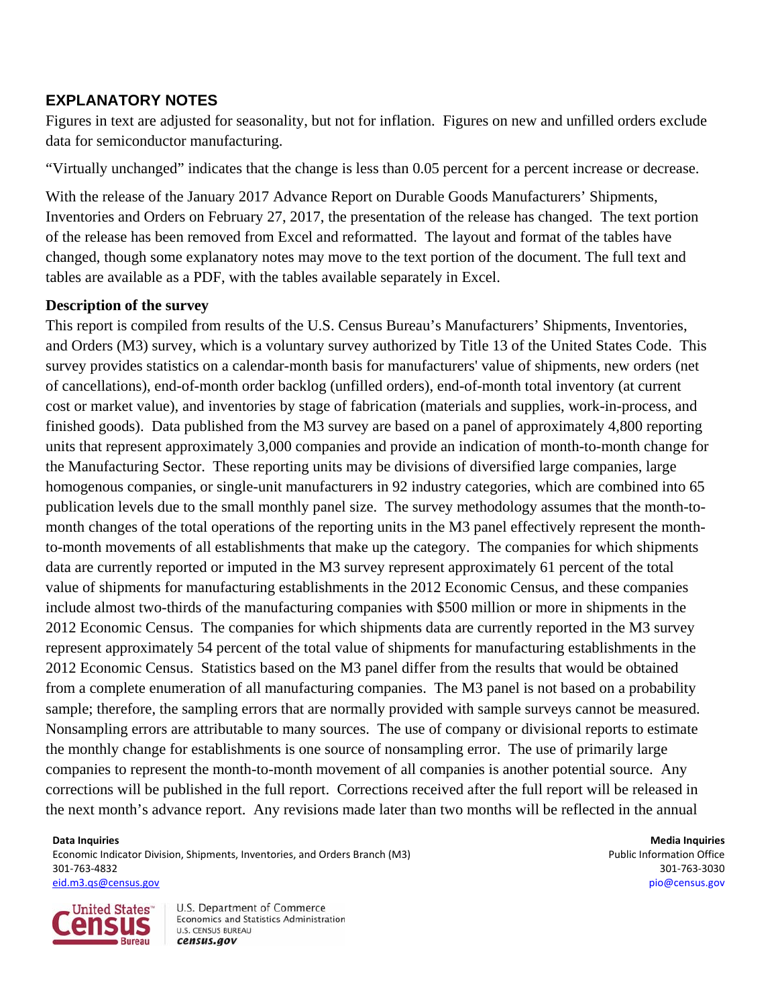## **EXPLANATORY NOTES**

Figures in text are adjusted for seasonality, but not for inflation. Figures on new and unfilled orders exclude data for semiconductor manufacturing.

"Virtually unchanged" indicates that the change is less than 0.05 percent for a percent increase or decrease.

With the release of the January 2017 Advance Report on Durable Goods Manufacturers' Shipments, Inventories and Orders on February 27, 2017, the presentation of the release has changed. The text portion of the release has been removed from Excel and reformatted. The layout and format of the tables have changed, though some explanatory notes may move to the text portion of the document. The full text and tables are available as a PDF, with the tables available separately in Excel.

## **Description of the survey**

This report is compiled from results of the U.S. Census Bureau's Manufacturers' Shipments, Inventories, and Orders (M3) survey, which is a voluntary survey authorized by Title 13 of the United States Code. This survey provides statistics on a calendar-month basis for manufacturers' value of shipments, new orders (net of cancellations), end-of-month order backlog (unfilled orders), end-of-month total inventory (at current cost or market value), and inventories by stage of fabrication (materials and supplies, work-in-process, and finished goods). Data published from the M3 survey are based on a panel of approximately 4,800 reporting units that represent approximately 3,000 companies and provide an indication of month-to-month change for the Manufacturing Sector. These reporting units may be divisions of diversified large companies, large homogenous companies, or single-unit manufacturers in 92 industry categories, which are combined into 65 publication levels due to the small monthly panel size. The survey methodology assumes that the month-tomonth changes of the total operations of the reporting units in the M3 panel effectively represent the monthto-month movements of all establishments that make up the category.The companies for which shipments data are currently reported or imputed in the M3 survey represent approximately 61 percent of the total value of shipments for manufacturing establishments in the 2012 Economic Census, and these companies include almost two-thirds of the manufacturing companies with \$500 million or more in shipments in the 2012 Economic Census. The companies for which shipments data are currently reported in the M3 survey represent approximately 54 percent of the total value of shipments for manufacturing establishments in the 2012 Economic Census. Statistics based on the M3 panel differ from the results that would be obtained from a complete enumeration of all manufacturing companies. The M3 panel is not based on a probability sample; therefore, the sampling errors that are normally provided with sample surveys cannot be measured. Nonsampling errors are attributable to many sources. The use of company or divisional reports to estimate the monthly change for establishments is one source of nonsampling error. The use of primarily large companies to represent the month-to-month movement of all companies is another potential source. Any corrections will be published in the full report. Corrections received after the full report will be released in the next month's advance report. Any revisions made later than two months will be reflected in the annual

**Data Inquiries Media Inquiries** Economic Indicator Division, Shipments, Inventories, and Orders Branch (M3) **Public Information Office** 301‐763‐4832 301‐763‐3030 eid.m3.qs@census.gov pio@census.gov

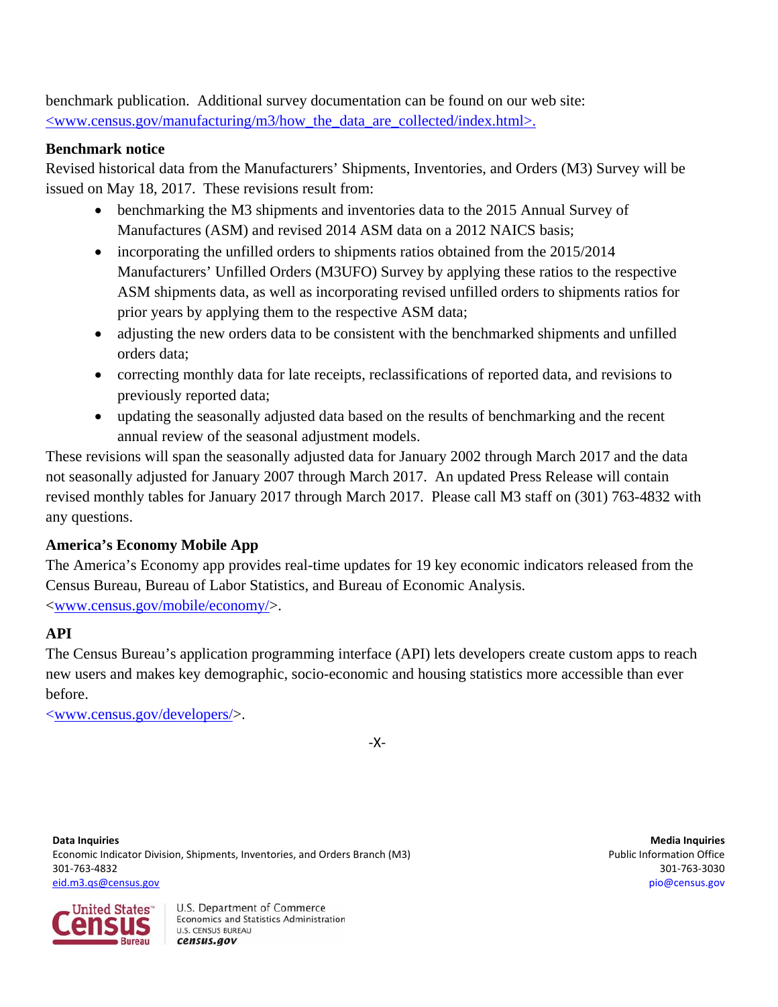benchmark publication.Additional survey documentation can be found on our web site:  $\langle$ www.census.gov/manufacturing/m3/how the data are collected/index.html>.

## **Benchmark notice**

Revised historical data from the Manufacturers' Shipments, Inventories, and Orders (M3) Survey will be issued on May 18, 2017. These revisions result from:

- benchmarking the M3 shipments and inventories data to the 2015 Annual Survey of Manufactures (ASM) and revised 2014 ASM data on a 2012 NAICS basis;
- incorporating the unfilled orders to shipments ratios obtained from the 2015/2014 Manufacturers' Unfilled Orders (M3UFO) Survey by applying these ratios to the respective ASM shipments data, as well as incorporating revised unfilled orders to shipments ratios for prior years by applying them to the respective ASM data;
- adjusting the new orders data to be consistent with the benchmarked shipments and unfilled orders data;
- correcting monthly data for late receipts, reclassifications of reported data, and revisions to previously reported data;
- updating the seasonally adjusted data based on the results of benchmarking and the recent annual review of the seasonal adjustment models.

These revisions will span the seasonally adjusted data for January 2002 through March 2017 and the data not seasonally adjusted for January 2007 through March 2017. An updated Press Release will contain revised monthly tables for January 2017 through March 2017. Please call M3 staff on (301) 763-4832 with any questions.

## **America's Economy Mobile App**

The America's Economy app provides real-time updates for 19 key economic indicators released from the Census Bureau, Bureau of Labor Statistics, and Bureau of Economic Analysis. <www.census.gov/mobile/economy/>.

## **API**

The Census Bureau's application programming interface (API) lets developers create custom apps to reach new users and makes key demographic, socio-economic and housing statistics more accessible than ever before.

<www.census.gov/developers/>.

‐X‐

**Data Inquiries Media Inquiries** Economic Indicator Division, Shipments, Inventories, and Orders Branch (M3) **Public Information Office** 301‐763‐4832 301‐763‐3030 eid.m3.qs@census.gov pio@census.gov

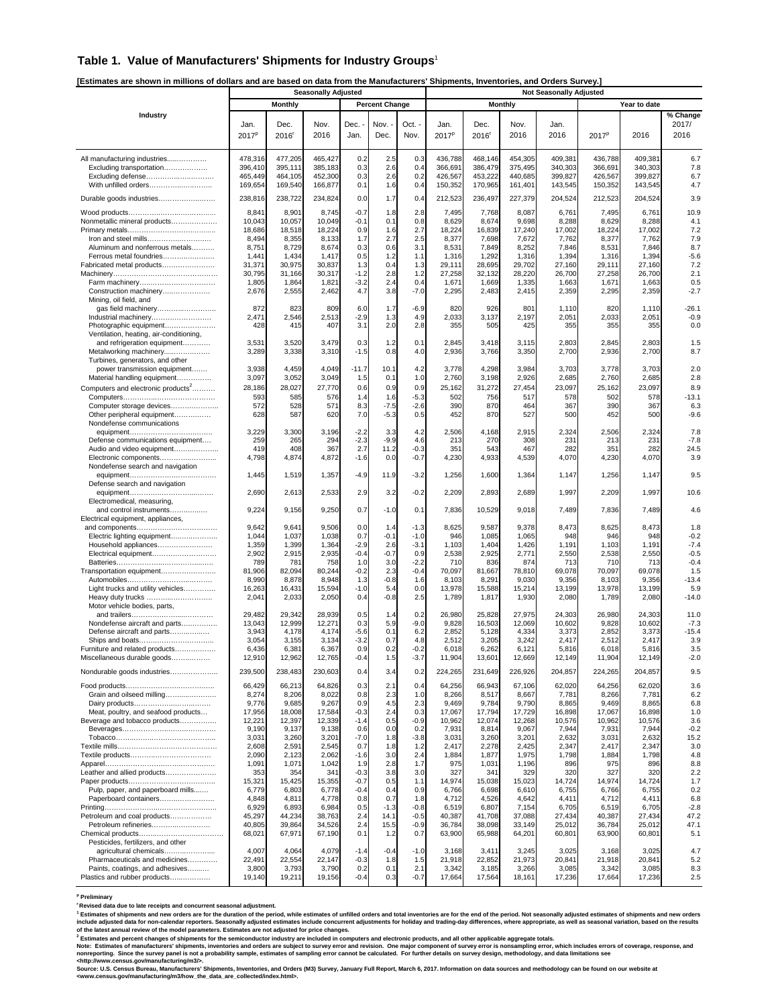#### **Table 1. Value of Manufacturers' Shipments for Industry Groups**<sup>1</sup>

**[Estimates are shown in millions of dollars and are based on data from the Manufacturers' Shipments, Inventories, and Orders Survey.]** 

|                                                                      |                    |                    | <b>Seasonally Adjusted</b> |                  |                       |                  |                    |                    |                    | <b>Not Seasonally Adjusted</b> |                    |                    |                |
|----------------------------------------------------------------------|--------------------|--------------------|----------------------------|------------------|-----------------------|------------------|--------------------|--------------------|--------------------|--------------------------------|--------------------|--------------------|----------------|
|                                                                      |                    | <b>Monthly</b>     |                            |                  | <b>Percent Change</b> |                  |                    |                    | <b>Monthly</b>     |                                |                    | Year to date       |                |
| Industry                                                             |                    |                    |                            |                  |                       |                  |                    |                    |                    |                                |                    |                    | % Change       |
|                                                                      | Jan.               | Dec.               | Nov.                       | Dec.             | Nov. -                | Oct. -           | Jan.               | Dec.               | Nov.               | Jan.                           |                    |                    | 2017/          |
|                                                                      | $2017^p$           | 2016 <sup>r</sup>  | 2016                       | Jan.             | Dec.                  | Nov.             | $2017^p$           | 2016'              | 2016               | 2016                           | $2017^p$           | 2016               | 2016           |
|                                                                      |                    |                    |                            |                  |                       |                  |                    |                    |                    |                                |                    |                    |                |
| All manufacturing industries                                         | 478,316            | 477,205            | 465,427                    | 0.2              | 2.5                   | 0.3              | 436,788            | 468,146            | 454,305            | 409,381                        | 436,788            | 409,381            | 6.7            |
| Excluding transportation                                             | 396,410            | 395,111            | 385,183                    | 0.3              | 2.6                   | 0.4              | 366,691            | 386,479            | 375,495            | 340,303                        | 366,691            | 340,303            | 7.8            |
| Excluding defense<br>With unfilled orders                            | 465,449<br>169,654 | 464,105<br>169,540 | 452,300<br>166,877         | 0.3<br>0.1       | 2.6<br>1.6            | 0.2<br>0.4       | 426,567<br>150,352 | 453,222<br>170,965 | 440,685<br>161,401 | 399,827<br>143,545             | 426.567<br>150,352 | 399,827<br>143,545 | 6.7<br>4.7     |
|                                                                      |                    |                    |                            |                  |                       |                  |                    |                    |                    |                                |                    |                    |                |
| Durable goods industries                                             | 238,816            | 238,722            | 234,824                    | 0.0              | 1.7                   | 0.4              | 212,523            | 236,497            | 227,379            | 204,524                        | 212,523            | 204,524            | 3.9            |
|                                                                      | 8,841              | 8,901              | 8,745                      | $-0.7$           | 1.8                   | 2.8              | 7,495              | 7,768              | 8,087              | 6,761                          | 7,495              | 6,761              | 10.9           |
| Nonmetallic mineral products                                         | 10,043             | 10,057             | 10,049                     | $-0.1$<br>0.9    | 0.1                   | 0.8<br>2.7       | 8,629              | 8,674              | 9,698              | 8,288                          | 8,629              | 8,288              | 4.1<br>7.2     |
| Iron and steel mills                                                 | 18,686<br>8,494    | 18,518<br>8,355    | 18,224<br>8,133            | 1.7              | 1.6<br>2.7            | 2.5              | 18,224<br>8,377    | 16,839<br>7,698    | 17,240<br>7,672    | 17,002<br>7,762                | 18,224<br>8,377    | 17,002<br>7,762    | 7.9            |
| Aluminum and nonferrous metals                                       | 8,751              | 8,729              | 8,674                      | 0.3              | 0.6                   | 3.1              | 8,531              | 7,849              | 8,252              | 7,846                          | 8,531              | 7,846              | 8.7            |
| Ferrous metal foundries                                              | 1,441              | 1,434              | 1,417                      | 0.5              | 1.2                   | 1.1              | 1,316              | 1,292              | 1,316              | 1,394                          | 1,316              | 1,394              | $-5.6$         |
| Fabricated metal products                                            | 31,371             | 30,975             | 30,837                     | 1.3              | 0.4                   | 1.3              | 29,111             | 28,695             | 29,702             | 27,160                         | 29,111             | 27,160             | 7.2            |
|                                                                      | 30,795<br>1,805    | 31,166<br>1,864    | 30,317<br>1,821            | $-1.2$<br>$-3.2$ | 2.8<br>2.4            | 1.2<br>0.4       | 27,258<br>1,671    | 32,132<br>1,669    | 28,220<br>1,335    | 26,700<br>1,663                | 27,258<br>1,671    | 26,700<br>1,663    | 2.1<br>0.5     |
| Construction machinery                                               | 2,676              | 2,555              | 2,462                      | 4.7              | 3.8                   | $-7.0$           | 2,295              | 2,483              | 2,415              | 2,359                          | 2,295              | 2,359              | $-2.7$         |
| Mining, oil field, and                                               |                    |                    |                            |                  |                       |                  |                    |                    |                    |                                |                    |                    |                |
| gas field machinery                                                  | 872                | 823                | 809                        | 6.0              | 1.7                   | $-6.9$           | 820                | 926                | 801                | 1,110                          | 820                | 1,110              | $-26.1$        |
| Industrial machinery                                                 | 2,471<br>428       | 2,546<br>415       | 2,513<br>407               | $-2.9$<br>3.1    | 1.3<br>2.0            | 4.9<br>2.8       | 2,033<br>355       | 3,137<br>505       | 2,197<br>425       | 2,051<br>355                   | 2,033<br>355       | 2,051<br>355       | $-0.9$<br>0.0  |
| Photographic equipment<br>Ventilation, heating, air-conditioning,    |                    |                    |                            |                  |                       |                  |                    |                    |                    |                                |                    |                    |                |
| and refrigeration equipment                                          | 3,531              | 3,520              | 3,479                      | 0.3              | 1.2                   | 0.1              | 2,845              | 3,418              | 3,115              | 2,803                          | 2,845              | 2,803              | 1.5            |
| Metalworking machinery                                               | 3,289              | 3,338              | 3,310                      | $-1.5$           | 0.8                   | 4.0              | 2,936              | 3,766              | 3,350              | 2,700                          | 2,936              | 2,700              | 8.7            |
| Turbines, generators, and other                                      |                    |                    |                            |                  |                       |                  |                    |                    |                    |                                |                    |                    |                |
| power transmission equipment<br>Material handling equipment          | 3,938<br>3,097     | 4,459<br>3,052     | 4,049<br>3,049             | $-11.7$<br>1.5   | 10.1<br>0.1           | 4.2<br>1.0       | 3,778<br>2,760     | 4,298<br>3,198     | 3,984<br>2,926     | 3,703<br>2,685                 | 3,778<br>2,760     | 3,703<br>2,685     | 2.0<br>2.8     |
| Computers and electronic products <sup>2</sup>                       | 28,186             | 28,027             | 27,770                     | 0.6              | 0.9                   | 0.9              | 25,162             | 31,272             | 27,454             | 23,097                         | 25,162             | 23,097             | 8.9            |
|                                                                      | 593                | 585                | 576                        | 1.4              | 1.6                   | $-5.3$           | 502                | 756                | 517                | 578                            | 502                | 578                | $-13.1$        |
| Computer storage devices                                             | 572                | 528                | 571                        | 8.3              | $-7.5$                | $-2.6$           | 390                | 870                | 464                | 367                            | 390                | 367                | 6.3            |
| Other peripheral equipment                                           | 628                | 587                | 620                        | 7.0              | $-5.3$                | 0.5              | 452                | 870                | 527                | 500                            | 452                | 500                | $-9.6$         |
| Nondefense communications                                            | 3,229              | 3,300              | 3,196                      | $-2.2$           | 3.3                   | 4.2              | 2,506              |                    | 2,915              | 2,324                          | 2,506              | 2,324              | 7.8            |
| Defense communications equipment                                     | 259                | 265                | 294                        | $-2.3$           | $-9.9$                | 4.6              | 213                | 4,168<br>270       | 308                | 231                            | 213                | 231                | $-7.8$         |
| Audio and video equipment                                            | 419                | 408                | 367                        | 2.7              | 11.2                  | $-0.3$           | 351                | 543                | 467                | 282                            | 351                | 282                | 24.5           |
| Electronic components                                                | 4,798              | 4,874              | 4,872                      | $-1.6$           | 0.0                   | $-0.7$           | 4,230              | 4,933              | 4,539              | 4,070                          | 4,230              | 4,070              | 3.9            |
| Nondefense search and navigation                                     |                    |                    |                            |                  |                       |                  |                    |                    |                    |                                |                    |                    |                |
| Defense search and navigation                                        | 1,445              | 1,519              | 1,357                      | $-4.9$           | 11.9                  | $-3.2$           | 1,256              | 1,600              | 1,364              | 1,147                          | 1,256              | 1,147              | 9.5            |
|                                                                      | 2,690              | 2,613              | 2,533                      | 2.9              | 3.2                   | $-0.2$           | 2,209              | 2,893              | 2,689              | 1,997                          | 2,209              | 1,997              | 10.6           |
| Electromedical, measuring,                                           |                    |                    |                            |                  |                       |                  |                    |                    |                    |                                |                    |                    |                |
| and control instruments                                              | 9,224              | 9,156              | 9,250                      | 0.7              | $-1.0$                | 0.1              | 7,836              | 10,529             | 9,018              | 7,489                          | 7,836              | 7,489              | 4.6            |
| Electrical equipment, appliances,                                    |                    |                    |                            |                  |                       |                  |                    |                    |                    |                                |                    |                    |                |
| Electric lighting equipment                                          | 9,642<br>1,044     | 9,641<br>1,037     | 9,506<br>1,038             | 0.0<br>0.7       | 1.4<br>$-0.1$         | $-1.3$<br>$-1.0$ | 8,625<br>946       | 9,587<br>1,085     | 9,378<br>1,065     | 8,473<br>948                   | 8,625<br>946       | 8,473<br>948       | 1.8<br>$-0.2$  |
| Household appliances                                                 | 1,359              | 1,399              | 1,364                      | $-2.9$           | 2.6                   | $-3.1$           | 1,103              | 1,404              | 1,426              | 1,191                          | 1,103              | 1,191              | $-7.4$         |
| Electrical equipment                                                 | 2,902              | 2,915              | 2,935                      | $-0.4$           | $-0.7$                | 0.9              | 2,538              | 2,925              | 2,771              | 2,550                          | 2,538              | 2,550              | $-0.5$         |
|                                                                      | 789                | 781                | 758                        | 1.0              | 3.0                   | $-2.2$           | 710                | 836                | 874                | 713                            | 710                | 713                | $-0.4$         |
| Transportation equipment                                             | 81,906<br>8,990    | 82,094<br>8,878    | 80,244<br>8,948            | $-0.2$<br>1.3    | 2.3<br>$-0.8$         | $-0.4$<br>1.6    | 70,097<br>8,103    | 81,667<br>8,291    | 78,810<br>9,030    | 69,078<br>9,356                | 70,097<br>8,103    | 69,078<br>9,356    | 1.5<br>$-13.4$ |
| Light trucks and utility vehicles                                    | 16,263             | 16,431             | 15,594                     | $-1.0$           | 5.4                   | 0.0              | 13,978             | 15,588             | 15,214             | 13,199                         | 13,978             | 13,199             | 5.9            |
| Heavy duty trucks                                                    | 2,041              | 2,033              | 2,050                      | 0.4              | $-0.8$                | 2.5              | 1,789              | 1,817              | 1,930              | 2,080                          | 1,789              | 2,080              | $-14.0$        |
| Motor vehicle bodies, parts,                                         |                    |                    |                            |                  |                       |                  |                    |                    |                    |                                |                    |                    |                |
| Nondefense aircraft and parts                                        | 29,482<br>13,043   | 29,342<br>12,999   | 28,939<br>12,271           | 0.5<br>0.3       | 1.4<br>5.9            | 0.2<br>$-9.0$    | 26,980<br>9,828    | 25,828<br>16,503   | 27,975<br>12,069   | 24,303<br>10,602               | 26,980<br>9,828    | 24,303<br>10,602   | 11.0<br>$-7.3$ |
| Defense aircraft and parts                                           | 3,943              | 4,178              | 4,174                      | $-5.6$           | 0.1                   | 6.2              | 2,852              | 5,128              | 4,334              | 3,373                          | 2,852              | 3,373              | $-15.4$        |
|                                                                      | 3,054              | 3,155              | 3,134                      | $-3.2$           | 0.7                   | 4.8              | 2,512              | 3,205              | 3,242              | 2,417                          | 2,512              | 2,417              | 3.9            |
| Furniture and related products                                       | 6,436              | 6,381              | 6,367                      | 0.9              | 0.2                   | $-0.2$           | 6,018              | 6,262              | 6,121              | 5,816                          | 6,018              | 5,816              | 3.5            |
| Miscellaneous durable goods                                          | 12,910             | 12,962             | 12,765                     | -0.4             | 1.5                   | -3.7             | 11,904             | 13,60              | 12,669             | 12,149                         | 11,904             | 12,149             | -2.0           |
| Nondurable goods industries                                          | 239,500            | 238,483            | 230,603                    | 0.4              | 3.4                   | 0.2              | 224,265            | 231,649            | 226,926            | 204,857                        | 224,265            | 204,857            | 9.5            |
|                                                                      | 66,429             | 66,213             | 64,826                     | 0.3              | 2.1                   | 0.4              | 64,256             | 66,943             | 67,106             | 62,020                         | 64,256             | 62,020             | 3.6            |
| Grain and oilseed milling                                            | 8,274              | 8,206              | 8,022                      | 0.8              | 2.3                   | 1.0              | 8,266              | 8,517              | 8,667              | 7,781                          | 8,266              | 7,781              | 6.2            |
|                                                                      | 9,776              | 9,685              | 9,267                      | 0.9              | 4.5                   | 2.3              | 9,469              | 9,784              | 9,790              | 8,865                          | 9,469              | 8,865              | 6.8            |
| Meat, poultry, and seafood products<br>Beverage and tobacco products | 17,956<br>12,221   | 18,008<br>12,397   | 17,584<br>12,339           | $-0.3$<br>$-1.4$ | 2.4<br>0.5            | 0.3<br>$-0.9$    | 17,067<br>10,962   | 17,794<br>12,074   | 17,729<br>12,268   | 16,898<br>10,576               | 17,067<br>10,962   | 16,898<br>10,576   | 1.0<br>3.6     |
|                                                                      | 9,190              | 9,137              | 9,138                      | 0.6              | 0.0                   | 0.2              | 7,931              | 8,814              | 9,067              | 7,944                          | 7,931              | 7,944              | $-0.2$         |
|                                                                      | 3,031              | 3,260              | 3,201                      | $-7.0$           | 1.8                   | $-3.8$           | 3,031              | 3,260              | 3,201              | 2,632                          | 3,031              | 2,632              | 15.2           |
|                                                                      | 2,608              | 2,591              | 2,545                      | 0.7              | 1.8                   | 1.2              | 2,417              | 2,278              | 2,425              | 2,347                          | 2,417              | 2,347              | 3.0            |
|                                                                      | 2,090<br>1,091     | 2,123<br>1,071     | 2,062<br>1,042             | $-1.6$<br>1.9    | 3.0<br>2.8            | 2.4<br>1.7       | 1,884<br>975       | 1,877<br>1,031     | 1,975<br>1,196     | 1,798<br>896                   | 1,884<br>975       | 1,798<br>896       | 4.8<br>8.8     |
| Leather and allied products                                          | 353                | 354                | 341                        | $-0.3$           | 3.8                   | 3.0              | 327                | 34 <sup>1</sup>    | 329                | 320                            | 327                | 320                | 2.2            |
|                                                                      | 15,321             | 15,425             | 15,355                     | $-0.7$           | 0.5                   | 1.1              | 14,974             | 15,038             | 15,023             | 14,724                         | 14,974             | 14,724             | 1.7            |
| Pulp, paper, and paperboard mills                                    | 6,779              | 6,803              | 6,778                      | $-0.4$           | 0.4                   | 0.9              | 6,766              | 6,698              | 6,610              | 6,755                          | 6,766              | 6,755              | 0.2            |
| Paperboard containers                                                | 4,848              | 4,811              | 4,778                      | 0.8              | 0.7                   | 1.8              | 4,712              | 4,526              | 4,642              | 4,411                          | 4,712              | 4,411              | 6.8            |
| Petroleum and coal products                                          | 6,929<br>45,297    | 6,893<br>44,234    | 6,984<br>38,763            | 0.5<br>2.4       | $-1.3$<br>14.1        | $-0.8$<br>$-0.5$ | 6,519<br>40,387    | 6,807<br>41,708    | 7,154<br>37,088    | 6,705<br>27,434                | 6,519<br>40,387    | 6,705<br>27,434    | $-2.8$<br>47.2 |
| Petroleum refineries                                                 | 40,805             | 39,864             | 34,526                     | 2.4              | 15.5                  | -0.9             | 36,784             | 38,098             | 33,149             | 25,012                         | 36,784             | 25,012             | 47.1           |
|                                                                      | 68,021             | 67,971             | 67,190                     | 0.1              | 1.2                   | 0.7              | 63,900             | 65,988             | 64,201             | 60,801                         | 63,900             | 60,801             | 5.1            |
| Pesticides, fertilizers, and other                                   |                    |                    |                            |                  |                       |                  |                    |                    |                    |                                |                    |                    |                |
| agricultural chemicals<br>Pharmaceuticals and medicines              | 4,007<br>22,491    | 4,064<br>22,554    | 4,079<br>22,147            | $-1.4$<br>$-0.3$ | $-0.4$<br>1.8         | $-1.0$<br>1.5    | 3,168<br>21,918    | 3,411<br>22,852    | 3,245<br>21,973    | 3,025<br>20,841                | 3,168<br>21,918    | 3,025<br>20,841    | 4.7<br>5.2     |
| Paints, coatings, and adhesives                                      | 3,800              | 3,793              | 3,790                      | 0.2              | 0.1                   | 2.1              | 3,342              | 3,185              | 3,266              | 3,085                          | 3,342              | 3,085              | 8.3            |
| Plastics and rubber products                                         | 19,140             | 19,211             | 19,156                     | $-0.4$           | 0.3                   | $-0.7$           | 17,664             | 17,564             | 18,161             | 17,236                         | 17,664             | 17,236             | 2.5            |

**p Preliminary** 

"Revised data due to late receipts and concurrent seasonal adjustment.<br>"Estimates of shipments and new orders are for the duration of the period, while estimates of unfilled orders and total inventories are for the end of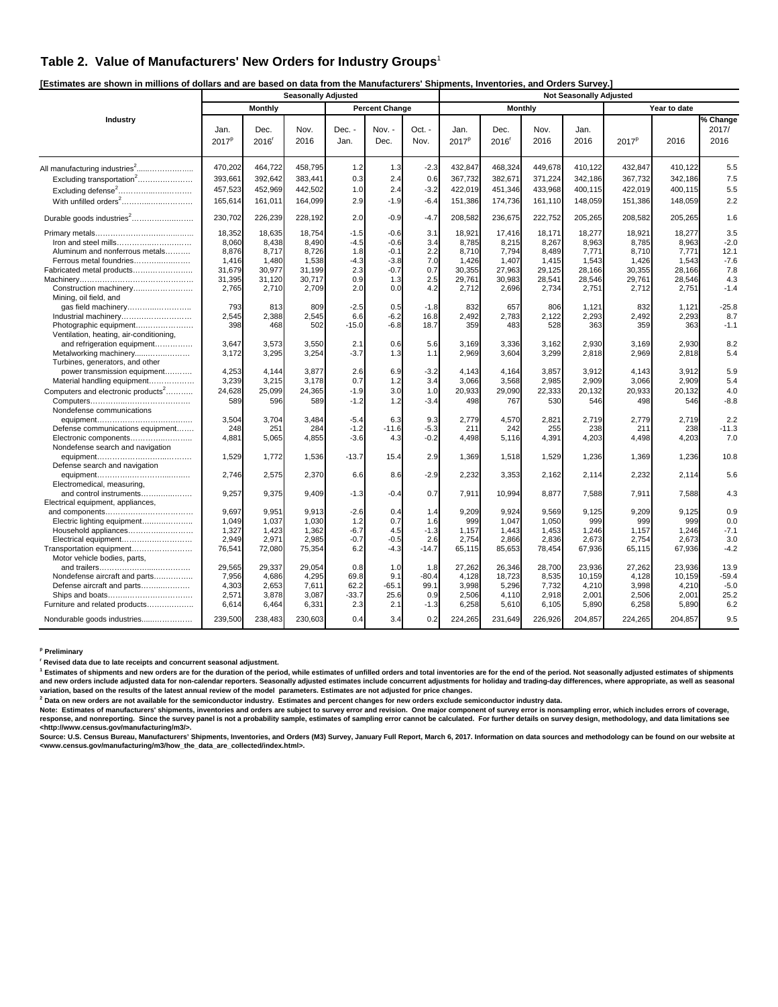### **Table 2. Value of Manufacturers' New Orders for Industry Groups**<sup>1</sup>

**[Estimates are shown in millions of dollars and are based on data from the Manufacturers' Shipments, Inventories, and Orders Survey.]** 

|                                                                   |                           |                           | <b>Seasonally Adjusted</b> |                |                       |                |                           |                             |                | <b>Not Seasonally Adjusted</b> |                   |                |               |  |
|-------------------------------------------------------------------|---------------------------|---------------------------|----------------------------|----------------|-----------------------|----------------|---------------------------|-----------------------------|----------------|--------------------------------|-------------------|----------------|---------------|--|
|                                                                   |                           | <b>Monthly</b>            |                            |                | <b>Percent Change</b> |                |                           | <b>Monthly</b>              |                |                                |                   | Year to date   |               |  |
| Industry                                                          |                           |                           |                            |                |                       |                |                           |                             |                |                                |                   |                | % Change      |  |
|                                                                   | Jan.<br>2017 <sup>p</sup> | Dec.<br>2016 <sup>r</sup> | Nov.<br>2016               | Dec. -<br>Jan. | Nov. -<br>Dec.        | Oct. -<br>Nov. | Jan.<br>2017 <sup>p</sup> | Dec.<br>$2016$ <sup>r</sup> | Nov.<br>2016   | Jan.<br>2016                   | 2017 <sup>p</sup> | 2016           | 2017/<br>2016 |  |
|                                                                   |                           |                           |                            |                |                       |                |                           |                             |                |                                |                   |                |               |  |
|                                                                   | 470,202                   | 464,722                   | 458,795                    | 1.2            | 1.3                   | $-2.3$         | 432,847                   | 468,324                     | 449,678        | 410,122                        | 432,847           | 410,122        | 5.5           |  |
| Excluding transportation <sup>2</sup>                             | 393.66                    | 392,642                   | 383.441                    | 0.3            | 2.4                   | 0.6            | 367,732                   | 382,671                     | 371,224        | 342,186                        | 367,732           | 342.186        | 7.5           |  |
| Excluding defense <sup>2</sup>                                    | 457,523                   | 452,969                   | 442,502                    | 1.0            | 2.4                   | $-3.2$         | 422,019                   | 451,346                     | 433,968        | 400,115                        | 422,019           | 400,115        | 5.5           |  |
|                                                                   | 165,614                   | 161,011                   | 164,099                    | 2.9            | $-1.9$                | $-6.4$         | 151,386                   | 174,736                     | 161,110        | 148,059                        | 151,386           | 148,059        | 2.2           |  |
| Durable goods industries <sup>2</sup>                             | 230,702                   | 226,239                   | 228,192                    | 2.0            | $-0.9$                | $-4.7$         | 208,582                   | 236,675                     | 222,752        | 205,265                        | 208,582           | 205,265        | 1.6           |  |
|                                                                   | 18,352                    | 18,635                    | 18,754                     | $-1.5$         | $-0.6$                | 3.1            | 18,921                    | 17,416                      | 18,171         | 18,277                         | 18,921            | 18,277         | 3.5           |  |
| Iron and steel mills                                              | 8,060                     | 8,438                     | 8,490                      | $-4.5$         | $-0.6$                | 3.4            | 8,785                     | 8,215                       | 8,267          | 8,963                          | 8,785             | 8,963          | $-2.0$        |  |
| Aluminum and nonferrous metals                                    | 8,876                     | 8,717                     | 8,726                      | 1.8            | $-0.1$                | 2.2            | 8,710                     | 7,794                       | 8,489          | 7,771                          | 8,710             | 7,771          | 12.1          |  |
| Ferrous metal foundries                                           | 1,416                     | 1,480                     | 1,538                      | $-4.3$         | $-3.8$                | 7.0            | 1,426                     | 1,407                       | 1,415          | 1,543                          | 1,426             | 1,543          | $-7.6$        |  |
| Fabricated metal products                                         | 31,679                    | 30,977                    | 31,199                     | 2.3            | $-0.7$                | 0.7            | 30,355                    | 27,963                      | 29,125         | 28,166                         | 30,355            | 28,166         | 7.8           |  |
|                                                                   | 31,395                    | 31,120                    | 30,717                     | 0.9            | 1.3                   | 2.5            | 29,761                    | 30,983                      | 28,541         | 28,546                         | 29,761            | 28,546         | 4.3           |  |
| Construction machinery<br>Mining, oil field, and                  | 2,765                     | 2,710                     | 2,709                      | 2.0            | 0.0                   | 4.2            | 2,712                     | 2,696                       | 2,734          | 2,751                          | 2,712             | 2,751          | $-1.4$        |  |
| gas field machinery                                               | 793                       | 813                       | 809                        | $-2.5$         | 0.5                   | $-1.8$         | 832                       | 657                         | 806            | 1,121                          | 832               | 1,121          | $-25.8$       |  |
| Industrial machinery                                              | 2,545                     | 2,388                     | 2,545                      | 6.6            | $-6.2$                | 16.8           | 2,492                     | 2,783                       | 2,122          | 2,293                          | 2,492             | 2,293          | 8.7           |  |
| Photographic equipment<br>Ventilation, heating, air-conditioning, | 398                       | 468                       | 502                        | $-15.0$        | $-6.8$                | 18.7           | 359                       | 483                         | 528            | 363                            | 359               | 363            | $-1.1$        |  |
| and refrigeration equipment                                       | 3,647                     | 3,573                     | 3,550                      | 2.1            | 0.6                   | 5.6            | 3,169                     | 3,336                       | 3,162          | 2,930                          | 3,169             | 2,930          | 8.2           |  |
| Metalworking machinery                                            | 3,172                     | 3,295                     | 3,254                      | $-3.7$         | 1.3                   | 1.1            | 2,969                     | 3,604                       | 3,299          | 2,818                          | 2,969             | 2,818          | 5.4           |  |
| Turbines, generators, and other                                   |                           |                           |                            |                |                       |                |                           |                             |                |                                |                   |                |               |  |
| power transmission equipment<br>Material handling equipment       | 4,253<br>3,239            | 4.144<br>3,215            | 3,877<br>3,178             | 2.6<br>0.7     | 6.9<br>1.2            | $-3.2$<br>3.4  | 4,143<br>3,066            | 4,164<br>3,568              | 3,857<br>2,985 | 3.912<br>2,909                 | 4.143<br>3,066    | 3,912<br>2,909 | 5.9<br>5.4    |  |
| Computers and electronic products <sup>2</sup>                    | 24,628                    | 25,099                    | 24,365                     | $-1.9$         | 3.0                   | 1.0            | 20,933                    | 29,090                      | 22,333         | 20,132                         | 20,933            | 20,132         | 4.0           |  |
|                                                                   | 589                       | 596                       | 589                        | $-1.2$         | 1.2                   | $-3.4$         | 498                       | 767                         | 530            | 546                            | 498               | 546            | $-8.8$        |  |
| Nondefense communications                                         |                           |                           |                            |                |                       |                |                           |                             |                |                                |                   |                |               |  |
|                                                                   | 3,504                     | 3,704                     | 3,484                      | $-5.4$         | 6.3                   | 9.3            | 2,779                     | 4,570                       | 2,821          | 2,719                          | 2,779             | 2,719          | 2.2           |  |
| Defense communications equipment                                  | 248                       | 251                       | 284                        | $-1.2$         | $-11.6$               | $-5.3$         | 211                       | 242                         | 255            | 238                            | 211               | 238            | $-11.3$       |  |
| Electronic components                                             | 4,881                     | 5,065                     | 4,855                      | $-3.6$         | 4.3                   | $-0.2$         | 4,498                     | 5,116                       | 4,391          | 4,203                          | 4,498             | 4,203          | 7.0           |  |
| Nondefense search and navigation                                  |                           |                           |                            |                |                       |                |                           |                             |                |                                |                   |                |               |  |
|                                                                   | 1,529                     | 1,772                     | 1,536                      | $-13.7$        | 15.4                  | 2.9            | 1,369                     | 1,518                       | 1,529          | 1,236                          | 1,369             | 1,236          | 10.8          |  |
| Defense search and navigation                                     |                           |                           |                            |                |                       |                |                           |                             |                |                                |                   |                |               |  |
|                                                                   | 2,746                     | 2,575                     | 2,370                      | 6.6            | 8.6                   | $-2.9$         | 2,232                     | 3,353                       | 2,162          | 2,114                          | 2,232             | 2.114          | 5.6           |  |
| Electromedical, measuring,                                        |                           |                           |                            | $-1.3$         | $-0.4$                | 0.7            |                           |                             |                | 7,588                          |                   | 7,588          |               |  |
| and control instruments<br>Electrical equipment, appliances,      | 9,257                     | 9,375                     | 9,409                      |                |                       |                | 7,911                     | 10,994                      | 8,877          |                                | 7,911             |                | 4.3           |  |
|                                                                   | 9,697                     | 9,951                     | 9,913                      | $-2.6$         | 0.4                   | 1.4            | 9,209                     | 9,924                       | 9,569          | 9,125                          | 9,209             | 9,125          | 0.9           |  |
| Electric lighting equipment                                       | 1,049                     | 1,037                     | 1,030                      | 1.2            | 0.7                   | 1.6            | 999                       | 1,047                       | 1,050          | 999                            | 999               | 999            | 0.0           |  |
| Household appliances                                              | 1,327                     | 1,423                     | 1,362                      | $-6.7$         | 4.5                   | $-1.3$         | 1,157                     | 1,443                       | 1,453          | 1,246                          | 1,157             | 1,246          | $-7.1$        |  |
| Electrical equipment                                              | 2,949                     | 2,971                     | 2,985                      | $-0.7$         | $-0.5$                | 2.6            | 2,754                     | 2,866                       | 2,836          | 2,673                          | 2,754             | 2,673          | 3.0           |  |
| Transportation equipment                                          | 76,541                    | 72,080                    | 75,354                     | 6.2            | $-4.3$                | $-14.7$        | 65,115                    | 85,653                      | 78,454         | 67,936                         | 65,115            | 67,936         | $-4.2$        |  |
| Motor vehicle bodies, parts,                                      |                           |                           |                            |                |                       |                |                           |                             |                |                                |                   |                |               |  |
|                                                                   | 29,565                    | 29.337                    | 29,054                     | 0.8            | 1.0                   | 1.8            | 27,262                    | 26,346                      | 28,700         | 23.936                         | 27,262            | 23,936         | 13.9          |  |
| Nondefense aircraft and parts                                     | 7,956                     | 4,686                     | 4,295                      | 69.8           | 9.1                   | $-80.4$        | 4,128                     | 18,723                      | 8,535          | 10.159                         | 4,128             | 10,159         | $-59.4$       |  |
| Defense aircraft and parts                                        | 4,303                     | 2.653                     | 7,611                      | 62.2           | $-65.1$               | 99.1           | 3,998                     | 5,296                       | 7,732          | 4,210                          | 3,998             | 4,210          | $-5.0$        |  |
|                                                                   | 2,571                     | 3,878                     | 3,087                      | $-33.7$        | 25.6                  | 0.9            | 2,506                     | 4,110                       | 2,918          | 2,001                          | 2,506             | 2,001          | 25.2          |  |
| Furniture and related products                                    | 6,614                     | 6,464                     | 6,331                      | 2.3            | 2.1                   | $-1.3$         | 6,258                     | 5,610                       | 6,105          | 5,890                          | 6,258             | 5,890          | 6.2           |  |
| Nondurable goods industries                                       | 239,500                   | 238,483                   | 230,603                    | 0.4            | 3.4                   | 0.2            | 224,265                   | 231,649                     | 226,926        | 204,857                        | 224,265           | 204,857        | 9.5           |  |

**p Preliminary** 

**r Revised data due to late receipts and concurrent seasonal adjustment.** 

<sup>1</sup> Estimates of shipments and new orders are for the duration of the period, while estimates of unfilled orders and total inventories are for the end of the period. Not seasonally adjusted estimates of shipments **and new orders include adjusted data for non-calendar reporters. Seasonally adjusted estimates include concurrent adjustments for holiday and trading-day differences, where appropriate, as well as seasonal variation, based on the results of the latest annual review of the model parameters. Estimates are not adjusted for price changes. 2**

ʹ Data on new orders are not available for the semiconductor industry. Estimates and percent changes for new orders exclude semiconductor industry data.<br>Note: Estimates of manufacturers' shipments, inventories are sub

≺http://www.census.gov/manufacturing/m3/>.<br>Source: U.S. Census Bureau, Manufacturers' Shipments, Inventories, and Orders (M3) Survey, January Full Report, March 6, 2017. Information on data sources and methodology can be **<www.census.gov/manufacturing/m3/how\_the\_data\_are\_collected/index.html>.**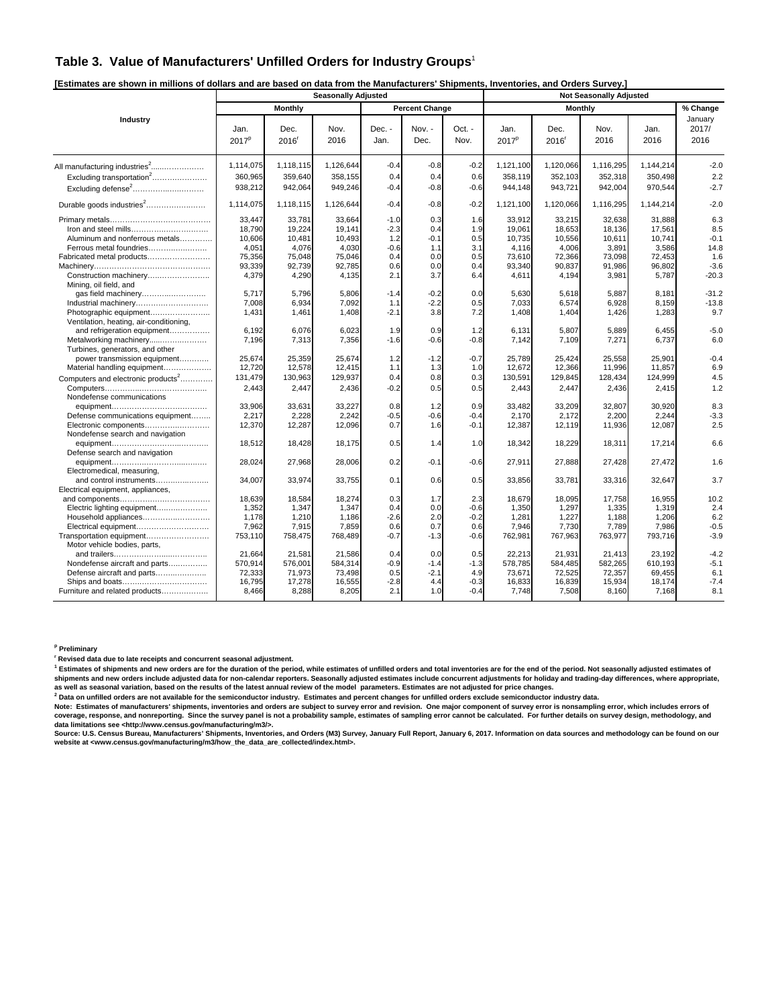### **Table 3. Value of Manufacturers' Unfilled Orders for Industry Groups**<sup>1</sup>

| [Estimates are shown in millions of dollars and are based on data from the Manufacturers' Shipments, Inventories, and Orders Survey.] |  |  |
|---------------------------------------------------------------------------------------------------------------------------------------|--|--|
|                                                                                                                                       |  |  |
|                                                                                                                                       |  |  |

|                                                                   |                           |                           | <b>Seasonally Adjusted</b> |                |                       |                  |                           |                 |                 |                 |                          |
|-------------------------------------------------------------------|---------------------------|---------------------------|----------------------------|----------------|-----------------------|------------------|---------------------------|-----------------|-----------------|-----------------|--------------------------|
|                                                                   |                           | Monthly                   |                            |                | <b>Percent Change</b> |                  |                           | Monthly         |                 |                 | % Change                 |
| Industry                                                          | Jan.<br>2017 <sup>p</sup> | Dec.<br>2016 <sup>r</sup> | Nov.<br>2016               | Dec. -<br>Jan. | Nov. -<br>Dec.        | Oct. -<br>Nov.   | Jan.<br>2017 <sup>p</sup> | Dec.<br>2016    | Nov.<br>2016    | Jan.<br>2016    | January<br>2017/<br>2016 |
| All manufacturing industries <sup>2</sup>                         | 1.114.075                 | 1,118,115                 | 1,126,644                  | $-0.4$         | $-0.8$                | $-0.2$           | 1.121.100                 | 1,120,066       | 1,116,295       | 1.144.214       | $-2.0$                   |
| Excluding transportation <sup>2</sup>                             | 360,965                   | 359,640                   | 358,155                    | 0.4            | 0.4                   | 0.6              | 358,119                   | 352,103         | 352,318         | 350,498         | 2.2                      |
| Excluding defense <sup>2</sup>                                    | 938,212                   | 942,064                   | 949,246                    | $-0.4$         | $-0.8$                | $-0.6$           | 944.148                   | 943,721         | 942,004         | 970,544         | $-2.7$                   |
| Durable goods industries <sup>2</sup>                             | 1,114,075                 | 1,118,115                 | 1,126,644                  | $-0.4$         | $-0.8$                | $-0.2$           | 1,121,100                 | 1,120,066       | 1,116,295       | 1,144,214       | $-2.0$                   |
|                                                                   | 33,447                    | 33.781                    | 33,664                     | $-1.0$         | 0.3                   | 1.6              | 33.912                    | 33,215          | 32,638          | 31.888          | 6.3                      |
|                                                                   | 18,790                    | 19,224                    | 19.141                     | $-2.3$         | 0.4                   | 1.9              | 19.061                    | 18,653          | 18.136          | 17,561          | 8.5                      |
| Aluminum and nonferrous metals                                    | 10,606                    | 10,481                    | 10,493                     | 1.2            | $-0.1$                | 0.5              | 10,735                    | 10,556          | 10,611          | 10,741          | $-0.1$                   |
| Ferrous metal foundries                                           | 4,051                     | 4,076                     | 4,030                      | $-0.6$         | 1.1                   | 3.1              | 4,116                     | 4,006           | 3,891           | 3,586           | 14.8                     |
| Fabricated metal products                                         | 75,356                    | 75,048                    | 75,046                     | 0.4            | 0.0                   | 0.5              | 73,610                    | 72,366          | 73,098          | 72,453          | 1.6                      |
|                                                                   | 93,339                    | 92,739                    | 92.785                     | 0.6            | 0.0                   | 0.4              | 93.340                    | 90,837          | 91,986          | 96,802          | $-3.6$                   |
| Construction machinery<br>Mining, oil field, and                  | 4,379                     | 4,290                     | 4,135                      | 2.1            | 3.7                   | 6.4              | 4,611                     | 4,194           | 3,981           | 5,787           | $-20.3$                  |
|                                                                   | 5,717                     | 5,796                     | 5,806                      | $-1.4$         | $-0.2$                | 0.0              | 5,630                     | 5,618           | 5,887           | 8,181           | $-31.2$                  |
| Industrial machinery                                              | 7,008                     | 6,934                     | 7,092                      | 1.1            | $-2.2$                | 0.5              | 7,033                     | 6,574           | 6,928           | 8,159           | $-13.8$                  |
| Photographic equipment<br>Ventilation, heating, air-conditioning, | 1,431                     | 1,461                     | 1,408                      | $-2.1$         | 3.8                   | 7.2              | 1,408                     | 1,404           | 1,426           | 1,283           | 9.7                      |
| and refrigeration equipment                                       | 6,192                     | 6,076                     | 6,023                      | 1.9            | 0.9                   | 1.2              | 6,131                     | 5,807           | 5,889           | 6,455           | $-5.0$                   |
| Metalworking machinery<br>Turbines, generators, and other         | 7,196                     | 7,313                     | 7,356                      | $-1.6$         | $-0.6$                | $-0.8$           | 7,142                     | 7,109           | 7,271           | 6,737           | 6.0                      |
| power transmission equipment                                      | 25,674                    | 25,359                    | 25,674                     | 1.2            | $-1.2$                | $-0.7$           | 25,789                    | 25,424          | 25,558          | 25,901          | $-0.4$                   |
| Material handling equipment                                       | 12,720                    | 12,578                    | 12,415                     | 1.1            | 1.3                   | 1.0              | 12,672                    | 12,366          | 11,996          | 11,857          | 6.9                      |
| Computers and electronic products <sup>2</sup>                    | 131,479                   | 130,963                   | 129,937                    | 0.4            | 0.8                   | 0.3              | 130,591                   | 129,845         | 128,434         | 124,999         | 4.5                      |
|                                                                   | 2,443                     | 2,447                     | 2,436                      | $-0.2$         | 0.5                   | 0.5              | 2,443                     | 2,447           | 2,436           | 2,415           | 1.2                      |
| Nondefense communications                                         |                           |                           |                            |                |                       |                  |                           |                 |                 |                 |                          |
|                                                                   | 33,906                    | 33,631                    | 33,227                     | 0.8            | 1.2                   | 0.9              | 33,482                    | 33,209          | 32,807          | 30,920          | 8.3                      |
| Defense communications equipment<br>Electronic components         | 2.217<br>12,370           | 2.228<br>12,287           | 2.242<br>12,096            | $-0.5$<br>0.7  | $-0.6$<br>1.6         | $-0.4$<br>$-0.1$ | 2.170<br>12,387           | 2.172<br>12,119 | 2.200<br>11,936 | 2.244<br>12,087 | $-3.3$<br>2.5            |
| Nondefense search and navigation                                  | 18,512                    | 18,428                    | 18,175                     | 0.5            | 1.4                   | 1.0              | 18,342                    | 18,229          | 18,311          | 17,214          | 6.6                      |
| Defense search and navigation                                     | 28,024                    | 27,968                    | 28,006                     | 0.2            | $-0.1$                | $-0.6$           | 27,911                    | 27,888          | 27,428          | 27,472          | 1.6                      |
| Electromedical, measuring,<br>and control instruments             | 34,007                    | 33,974                    | 33,755                     | 0.1            | 0.6                   | 0.5              | 33,856                    | 33,781          | 33,316          | 32,647          | 3.7                      |
| Electrical equipment, appliances,                                 |                           |                           |                            |                |                       |                  |                           |                 |                 |                 |                          |
|                                                                   | 18,639                    | 18,584                    | 18,274                     | 0.3            | 1.7                   | 2.3              | 18,679                    | 18,095          | 17,758          | 16,955          | 10.2                     |
| Electric lighting equipment                                       | 1,352                     | 1.347                     | 1.347                      | 0.4            | 0.0                   | $-0.6$           | 1.350                     | 1,297           | 1,335           | 1,319           | 2.4                      |
| Household appliances                                              | 1,178                     | 1,210                     | 1,186                      | $-2.6$         | 2.0                   | $-0.2$           | 1,281                     | 1,227           | 1,188           | 1,206           | 6.2                      |
| Electrical equipment                                              | 7,962                     | 7,915                     | 7,859                      | 0.6            | 0.7                   | 0.6              | 7,946                     | 7,730           | 7,789           | 7,986           | $-0.5$                   |
| Transportation equipment                                          | 753,110                   | 758,475                   | 768,489                    | $-0.7$         | $-1.3$                | $-0.6$           | 762,981                   | 767,963         | 763,977         | 793,716         | $-3.9$                   |
| Motor vehicle bodies, parts,                                      |                           |                           |                            |                |                       |                  |                           |                 |                 |                 |                          |
|                                                                   | 21.664                    | 21.581                    | 21.586                     | 0.4            | 0.0                   | 0.5              | 22.213                    | 21.931          | 21.413          | 23.192          | $-4.2$                   |
| Nondefense aircraft and parts                                     | 570,914                   | 576,001                   | 584,314                    | $-0.9$         | $-1.4$                | -1.3             | 578,785                   | 584,485         | 582,265         | 610,193         | $-5.1$                   |
| Defense aircraft and parts                                        | 72,333                    | 71,973                    | 73,498                     | 0.5            | $-2.1$                | 4.9              | 73,671                    | 72,525          | 72,357          | 69,455          | 6.1                      |
|                                                                   | 16,795                    | 17,278                    | 16,555                     | $-2.8$         | 4.4                   | $-0.3$           | 16,833                    | 16,839          | 15,934          | 18,174          | $-7.4$                   |
| Furniture and related products                                    | 8,466                     | 8,288                     | 8,205                      | 2.1            | 1.0                   | $-0.4$           | 7,748                     | 7,508           | 8,160           | 7,168           | 8.1                      |

**p Preliminary** 

**r Revised data due to late receipts and concurrent seasonal adjustment.** 

<sup>1</sup> Estimates of shipments and new orders are for the duration of the period, while estimates of unfilled orders and total inventories are for the end of the period. Not seasonally adjusted estimates of shipments and new orders include adjusted data for non-calendar reporters. Seasonally adjusted estimates include concurrent adjustments for holiday and trading-day differences, where appropriate,<br>as well as seasonal vari

 **Data on unfilled orders are not available for the semiconductor industry. Estimates and percent changes for unfilled orders exclude semiconductor industry data.** 

Note: Estimates of manufacturers' shipments, inventories and orders are subject to survey error and revision. One major component of survey error is nonsampling error, which includes errors of<br>coverage, response, and nonre **data limitations see <http://www.census.gov/manufacturing/m3/>.** 

Source: U.S. Census Bureau, Manufacturers' Shipments, Inventories, and Orders (M3) Survey, January Full Report, January 6, 2017. Information on data sources and methodology can be found on our<br>website at ⊲www.census.gov/m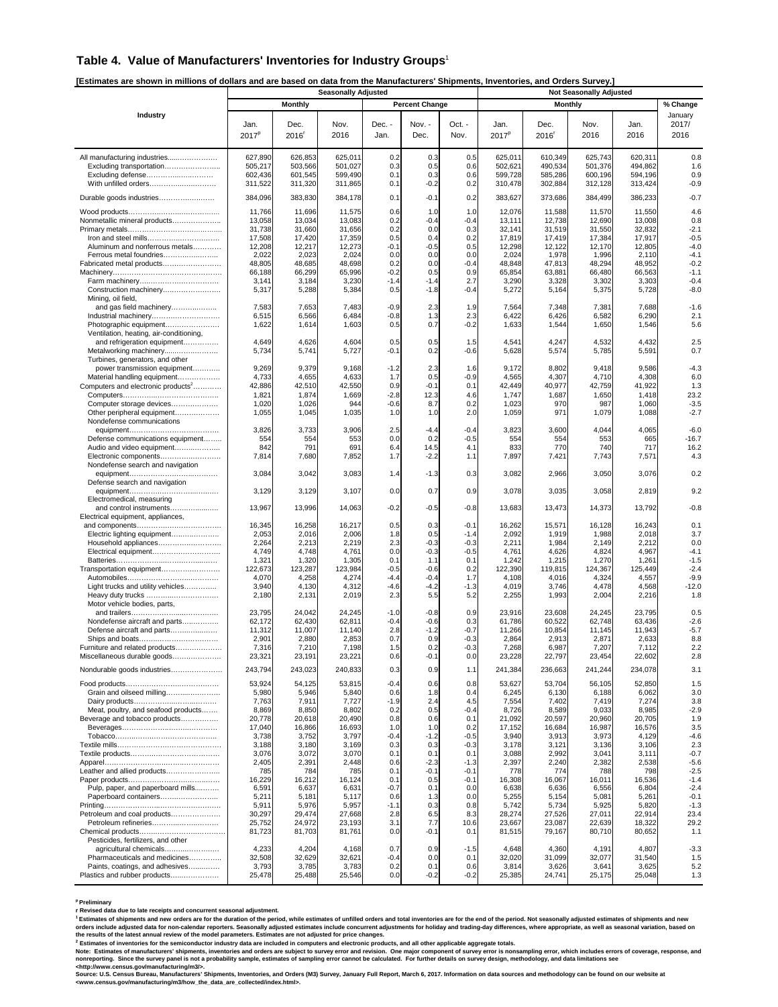#### **Table 4. Value of Manufacturers' Inventories for Industry Groups**<sup>1</sup>

**[Estimates are shown in millions of dollars and are based on data from the Manufacturers' Shipments, Inventories, and Orders Survey.]** 

|                                                                               |                               |                               | <br><b>Seasonally Adjusted</b> |                   |                       |                   |                               |                               | <b>Not Seasonally Adjusted</b> |                               |                          |
|-------------------------------------------------------------------------------|-------------------------------|-------------------------------|--------------------------------|-------------------|-----------------------|-------------------|-------------------------------|-------------------------------|--------------------------------|-------------------------------|--------------------------|
|                                                                               |                               | <b>Monthly</b>                |                                |                   | <b>Percent Change</b> |                   |                               | Monthly                       |                                |                               | % Change                 |
| Industry                                                                      | Jan.<br>2017 <sup>p</sup>     | Dec.<br>2016                  | Nov.<br>2016                   | Dec. -<br>Jan.    | Nov. -<br>Dec.        | Oct. -<br>Nov.    | Jan.<br>2017 <sup>p</sup>     | Dec.<br>$2016$ <sup>r</sup>   | Nov.<br>2016                   | Jan.<br>2016                  | January<br>2017/<br>2016 |
| All manufacturing industries<br>Excluding transportation<br>Excluding defense | 627,890<br>505,217<br>602,436 | 626,853<br>503,566<br>601,545 | 625,011<br>501,027<br>599,490  | 0.2<br>0.3<br>0.1 | 0.3<br>0.5<br>0.3     | 0.5<br>0.6<br>0.6 | 625,011<br>502,621<br>599,728 | 610,349<br>490,534<br>585,286 | 625,743<br>501,376<br>600,196  | 620,311<br>494,862<br>594,196 | 0.8<br>1.6<br>0.9        |
| With unfilled orders                                                          | 311,522                       | 311,320                       | 311,865                        | 0.1               | $-0.2$                | 0.2               | 310,478                       | 302,884                       | 312,128                        | 313,424                       | $-0.9$                   |
| Durable goods industries                                                      | 384,096<br>11,766             | 383,830<br>11,696             | 384,178<br>11,575              | 0.1<br>0.6        | $-0.1$<br>1.0         | 0.2<br>1.0        | 383,627<br>12,076             | 373,686<br>11,588             | 384,499<br>11,570              | 386,233<br>11,550             | $-0.7$<br>4.6            |
| Nonmetallic mineral products                                                  | 13,058<br>31,738              | 13,034<br>31,660              | 13,083<br>31,656               | 0.2<br>0.2        | $-0.4$<br>0.0         | $-0.4$<br>0.3     | 13,111<br>32,141              | 12,738<br>31,519              | 12,690<br>31,550               | 13,008<br>32,832              | 0.8<br>$-2.1$            |
| Aluminum and nonferrous metals                                                | 17,508<br>12,208              | 17,420<br>12,217              | 17,359<br>12,273               | 0.5<br>$-0.1$     | 0.4<br>-0.5           | 0.2<br>0.5        | 17,819<br>12,298              | 17,419<br>12,122              | 17,384<br>12,170               | 17,917<br>12,805              | $-0.5$<br>$-4.0$         |
| Ferrous metal foundries                                                       | 2,022                         | 2,023                         | 2,024                          | 0.0               | 0.0                   | 0.0               | 2,024                         | 1,978                         | 1,996                          | 2,110                         | $-4.1$                   |
| Fabricated metal products                                                     | 48,805                        | 48,685                        | 48,698                         | 0.2               | 0.0                   | $-0.4$            | 48,848                        | 47,813                        | 48,294                         | 48,952                        | $-0.2$                   |
|                                                                               | 66,188<br>3,141               | 66,299<br>3,184               | 65,996<br>3,230                | $-0.2$<br>$-1.4$  | 0.5<br>-1.4           | 0.9<br>2.7        | 65,854<br>3,290               | 63,881<br>3,328               | 66,480<br>3,302                | 66,563<br>3,303               | $-1.1$<br>$-0.4$         |
| Construction machinery<br>Mining, oil field,                                  | 5,317                         | 5,288                         | 5,384                          | 0.5               | -1.8                  | $-0.4$            | 5,272                         | 5,164                         | 5,375                          | 5,728                         | $-8.0$                   |
| and gas field machinery<br>Industrial machinery                               | 7,583<br>6,515                | 7,653<br>6,566                | 7,483<br>6,484                 | $-0.9$<br>$-0.8$  | 2.3<br>1.3            | 1.9<br>2.3        | 7,564<br>6,422                | 7,348<br>6,426                | 7,381<br>6,582                 | 7,688<br>6,290                | $-1.6$<br>2.1            |
| Photographic equipment                                                        | 1,622                         | 1,614                         | 1,603                          | 0.5               | 0.7                   | $-0.2$            | 1,633                         | 1,544                         | 1,650                          | 1,546                         | 5.6                      |
| Ventilation, heating, air-conditioning,<br>and refrigeration equipment        | 4,649                         | 4,626                         | 4,604                          | 0.5               | 0.5                   | 1.5               | 4,541                         | 4,247                         | 4,532                          | 4,432                         | 2.5                      |
| Metalworking machinery<br>Turbines, generators, and other                     | 5,734                         | 5,741                         | 5,727                          | $-0.1$            | 0.2                   | $-0.6$            | 5,628                         | 5,574                         | 5,785                          | 5,591                         | 0.7                      |
| power transmission equipment<br>Material handling equipment                   | 9,269<br>4,733                | 9,379<br>4,655                | 9,168<br>4,633                 | $-1.2$<br>1.7     | 2.3<br>0.5            | 1.6<br>$-0.9$     | 9,172<br>4,565                | 8,802<br>4,307                | 9,418<br>4,710                 | 9,586<br>4,308                | $-4.3$<br>6.0            |
| Computers and electronic products <sup>2</sup>                                | 42,886                        | 42,510                        | 42,550                         | 0.9               | $-0.1$                | 0.1               | 42,449                        | 40,977                        | 42,759                         | 41,922                        | 1.3                      |
|                                                                               | 1,821                         | 1,874                         | 1,669                          | $-2.8$            | 12.3                  | 4.6               | 1,747                         | 1,687                         | 1,650                          | 1,418                         | 23.2                     |
| Computer storage devices<br>Other peripheral equipment                        | 1,020<br>1,055                | 1,026<br>1,045                | 944<br>1,035                   | $-0.6$<br>1.0     | 8.7<br>1.0            | 0.2<br>2.0        | 1,023<br>1,059                | 97C<br>971                    | 987<br>1,079                   | 1,060<br>1,088                | $-3.5$<br>$-2.7$         |
| Nondefense communications                                                     |                               |                               |                                |                   |                       |                   |                               |                               |                                |                               |                          |
|                                                                               | 3,826                         | 3,733                         | 3,906                          | 2.5               | $-4.4$                | $-0.4$            | 3,823                         | 3,600                         | 4,044                          | 4,065                         | $-6.0$                   |
| Defense communications equipment<br>Audio and video equipment                 | 554<br>842                    | 554<br>791                    | 553<br>691                     | 0.0<br>6.4        | 0.2<br>14.5           | $-0.5$<br>4.1     | 554<br>833                    | 554<br>770                    | 553<br>740                     | 665<br>717                    | $-16.7$<br>16.2          |
| Electronic components<br>Nondefense search and navigation                     | 7,814                         | 7,680                         | 7,852                          | 1.7               | $-2.2$                | 1.1               | 7,897                         | 7,421                         | 7,743                          | 7,571                         | 4.3                      |
|                                                                               | 3,084                         | 3,042                         | 3,083                          | 1.4               | $-1.3$                | 0.3               | 3,082                         | 2,966                         | 3,050                          | 3,076                         | 0.2                      |
| Defense search and navigation                                                 | 3,129                         | 3,129                         | 3,107                          | 0.0               | 0.7                   | 0.9               | 3,078                         | 3,035                         | 3,058                          | 2,819                         | 9.2                      |
| Electromedical, measuring<br>and control instruments                          | 13,967                        | 13,996                        | 14,063                         | $-0.2$            | $-0.5$                | $-0.8$            | 13,683                        | 13,473                        | 14,373                         | 13,792                        | $-0.8$                   |
| Electrical equipment, appliances,                                             | 16,345                        | 16,258                        | 16,217                         | 0.5               | 0.3                   | $-0.1$            | 16,262                        | 15,571                        | 16,128                         | 16,243                        | 0.1                      |
| Electric lighting equipment                                                   | 2,053                         | 2,016                         | 2,006                          | 1.8               | 0.5                   | $-1.4$            | 2,092                         | 1,919                         | 1,988                          | 2,018                         | 3.7                      |
| Household appliances<br>Electrical equipment                                  | 2,264<br>4,749                | 2,213<br>4,748                | 2,219<br>4,761                 | 2.3<br>0.0        | $-0.3$<br>$-0.3$      | $-0.3$<br>$-0.5$  | 2,211<br>4,76'                | 1,984<br>4,626                | 2,149<br>4,824                 | 2,212<br>4,967                | 0.0<br>$-4.1$            |
|                                                                               | 1,321                         | 1,320                         | 1,305                          | 0.1               | 1.1                   | 0.1               | 1,242                         | 1,215                         | 1,270                          | 1,261                         | $-1.5$                   |
| Transportation equipment                                                      | 122,673                       | 123,287                       | 123,984                        | $-0.5$            | $-0.6$                | 0.2               | 122,390                       | 119,815                       | 124,367                        | 125,449                       | $-2.4$                   |
|                                                                               | 4,070<br>3,940                | 4,258                         | 4,274                          | -4.4<br>-4.6      | $-0.4$<br>$-4.2$      | 1.7<br>$-1.3$     | 4,108<br>4,019                | 4,016<br>3,746                | 4,324<br>4,478                 | 4,557<br>4,568                | $-9.9$<br>$-12.0$        |
| Light trucks and utility vehicles<br>Heavy duty trucks                        | 2,180                         | 4,130<br>2,131                | 4,312<br>2,019                 | 2.3               | 5.5                   | 5.2               | 2,255                         | 1,993                         | 2,004                          | 2,216                         | 1.8                      |
| Motor vehicle bodies, parts,                                                  | 23,795                        | 24,042                        | 24,245                         | $-1.0$            | $-0.8$                | 0.9               | 23,916                        | 23,608                        | 24,245                         | 23,795                        | 0.5                      |
| Nondefense aircraft and parts                                                 | 62,172                        | 62,430                        | 62,811                         | $-0.4$            | $-0.6$                | 0.3               | 61,786                        | 60,522                        | 62,748                         | 63,436                        | $-2.6$                   |
| Defense aircraft and parts                                                    | 11,312<br>2,901               | 11,007<br>2,880               | 11,140<br>2,853                | 2.8<br>0.7        | $-1.2$                | $-0.7$<br>$-0.3$  | 11,266<br>2,864               | 10,854<br>2,913               | 11,145<br>2,871                | 11,943<br>2,633               | $-5.7$<br>8.8            |
| Furniture and related products                                                | 7,316                         | 7,210                         | 7,198                          | 1.5               | 0.9<br>0.2            | $-0.3$            | 7,268                         | 6,987                         | 7,207                          | 7,112                         | 2.2                      |
| Miscellaneous durable goods                                                   | 23,32                         | 23,191                        | 23,221                         | 0.6               | -0.1                  | U.U               | 23,228                        | 22,797                        | 23,454                         | 22,602                        | 2.8                      |
| Nondurable goods industries                                                   | 243,794                       | 243,023                       | 240,833                        | 0.3               | 0.9                   | 1.1               | 241,384                       | 236,663                       | 241,244                        | 234,078                       | 3.1                      |
|                                                                               | 53,924                        | 54,125                        | 53,815                         | $-0.4$            | 0.6                   | 0.8               | 53,627                        | 53,704                        | 56,105                         | 52,850                        | 1.5                      |
| Grain and oilseed milling                                                     | 5,980<br>7,763                | 5,946<br>7,911                | 5,840<br>7,727                 | 0.6<br>$-1.9$     | 1.8<br>2.4            | 0.4<br>4.5        | 6,245<br>7,554                | 6,130<br>7,402                | 6,188<br>7,419                 | 6,062<br>7,274                | 3.0<br>3.8               |
| Meat, poultry, and seafood products                                           | 8,869                         | 8,850                         | 8,802                          | 0.2               | 0.5                   | $-0.4$            | 8,726                         | 8,589                         | 9,033                          | 8,985                         | $-2.9$                   |
| Beverage and tobacco products                                                 | 20,778                        | 20,618                        | 20,490                         | 0.8               | 0.6                   | 0.1               | 21,092                        | 20,597                        | 20,960                         | 20,705                        | 1.9                      |
|                                                                               | 17,040<br>3,738               | 16,866<br>3,752               | 16,693<br>3,797                | 1.0<br>$-0.4$     | 1.0<br>$-1.2$         | 0.2<br>$-0.5$     | 17,152<br>3,940               | 16,684<br>3,913               | 16,987<br>3,973                | 16,576<br>4,129               | 3.5<br>$-4.6$            |
|                                                                               | 3,188                         | 3,180                         | 3,169                          | 0.3               | 0.3                   | $-0.3$            | 3,178                         | 3,121                         | 3,136                          | 3,106                         | 2.3                      |
|                                                                               | 3,076                         | 3,072                         | 3,070                          | 0.1               | 0.1                   | 0.1               | 3,088                         | 2,992                         | 3,041                          | 3,111                         | $-0.7$                   |
| Leather and allied products                                                   | 2,405<br>785                  | 2,391<br>784                  | 2,448<br>785                   | 0.6<br>0.1        | $-2.3$<br>-0.1        | $-1.3$<br>$-0.1$  | 2,397<br>778                  | 2,240<br>774                  | 2,382<br>788                   | 2,538<br>798                  | $-5.6$<br>$-2.5$         |
|                                                                               | 16,229                        | 16,212                        | 16,124                         | 0.1               | 0.5                   | $-0.1$            | 16,308                        | 16,067                        | 16,011                         | 16,536                        | $-1.4$                   |
| Pulp, paper, and paperboard mills                                             | 6,591                         | 6,637                         | 6,631                          | $-0.7$            | 0.1                   | 0.0               | 6,638                         | 6,636                         | 6,556                          | 6,804                         | $-2.4$                   |
| Paperboard containers                                                         | 5,211<br>5,911                | 5,181<br>5,976                | 5,117<br>5,957                 | 0.6<br>$-1.1$     | 1.3<br>0.3            | 0.0<br>0.8        | 5,255<br>5,742                | 5,154<br>5,734                | 5,081<br>5,925                 | 5,261<br>5,820                | $-0.1$<br>$-1.3$         |
| Petroleum and coal products                                                   | 30,297                        | 29,474                        | 27,668                         | 2.8               | 6.5                   | 8.3               | 28,274                        | 27,526                        | 27,011                         | 22,914                        | 23.4                     |
| Petroleum refineries                                                          | 25,752                        | 24,972                        | 23,193                         | 3.1               | 7.7                   | 10.6              | 23,667                        | 23,087                        | 22,639                         | 18,322                        | 29.2                     |
| Pesticides, fertilizers, and other                                            | 81,723                        | 81,703                        | 81,761                         | 0.0               | -0.1                  | 0.1               | 81,515                        | 79,167                        | 80,710                         | 80,652                        | 1.1                      |
| agricultural chemicals                                                        | 4,233                         | 4,204                         | 4,168                          | 0.7               | 0.9                   | $-1.5$            | 4,648                         | 4,360                         | 4,191                          | 4,807                         | $-3.3$                   |
| Pharmaceuticals and medicines<br>Paints, coatings, and adhesives              | 32,508<br>3,793               | 32,629<br>3,785               | 32,621<br>3,783                | $-0.4$<br>0.2     | 0.0<br>0.1            | 0.1<br>0.6        | 32,020<br>3,814               | 31,099<br>3,626               | 32,077<br>3,641                | 31,540<br>3,625               | 1.5<br>5.2               |
| Plastics and rubber products                                                  | 25,478                        | 25,488                        | 25,546                         | 0.0               | $-0.2$                | $-0.2$            | 25,385                        | 24,741                        | 25,175                         | 25,048                        | 1.3                      |

**p Preliminary r Revised data due to late receipts and concurrent seasonal adjustment.** 

<sup>1</sup> Estimates of shipments and new orders are for the duration of the period, while estimates of unfilled orders and total inventories are for the end of the period. Not seasonally adjusted estimates of shipments and new<br>o

<sup>2</sup> Estimates of inventories for the semiconductor industry data are included in computers and electronic products, and all other applicable aggregate totals.<br>Note: Estimates of manufacturers' shipments, inventories and or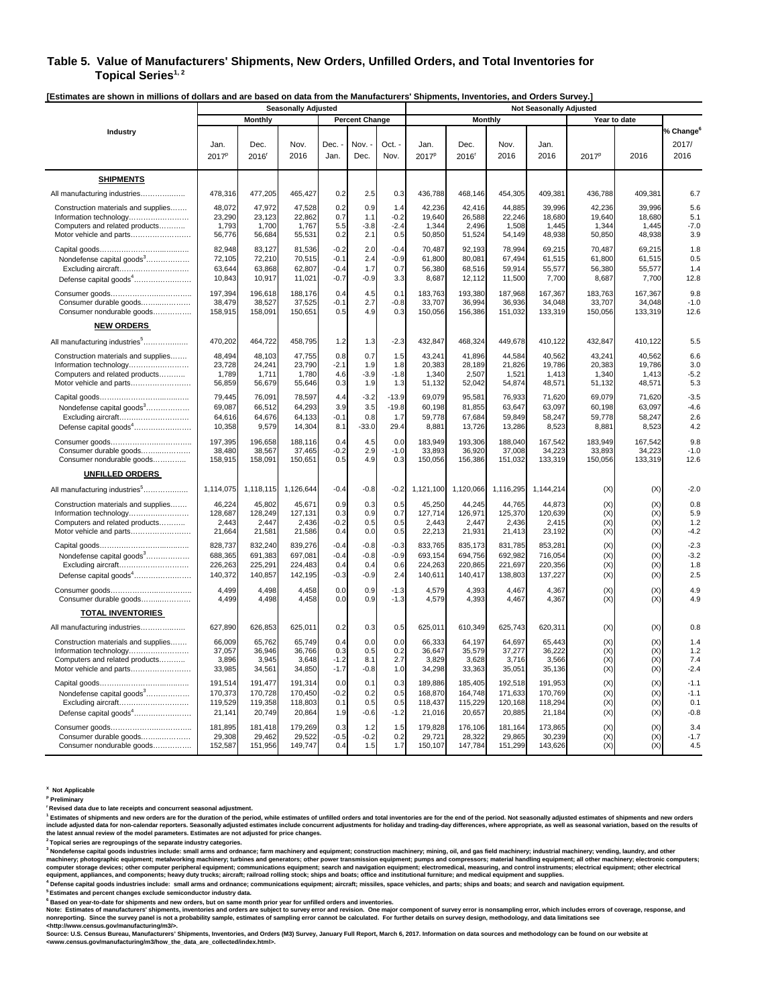#### **Table 5. Value of Manufacturers' Shipments, New Orders, Unfilled Orders, and Total Inventories for**  Topical Series<sup>1, 2</sup>

**[Estimates are shown in millions of dollars and are based on data from the Manufacturers' Shipments, Inventories, and Orders Survey.]** 

|                                           | <b>Seasonally Adjusted</b><br><b>Not Seasonally Adjusted</b> |              |              |              |                       |              |                           |                             |              |              |                   |              |                                        |
|-------------------------------------------|--------------------------------------------------------------|--------------|--------------|--------------|-----------------------|--------------|---------------------------|-----------------------------|--------------|--------------|-------------------|--------------|----------------------------------------|
|                                           |                                                              | Monthly      |              |              | <b>Percent Change</b> |              |                           | Monthly                     |              |              |                   | Year to date |                                        |
| Industry                                  | Jan.<br>2017 <sup>p</sup>                                    | Dec.<br>2016 | Nov.<br>2016 | Dec.<br>Jan. | Nov.<br>Dec.          | Oct.<br>Nov. | Jan.<br>2017 <sup>p</sup> | Dec.<br>$2016$ <sup>r</sup> | Nov.<br>2016 | Jan.<br>2016 | 2017 <sup>p</sup> | 2016         | % Change <sup>6</sup><br>2017/<br>2016 |
| <b>SHIPMENTS</b>                          |                                                              |              |              |              |                       |              |                           |                             |              |              |                   |              |                                        |
| All manufacturing industries              | 478,316                                                      | 477,205      | 465,427      | 0.2          | 2.5                   | 0.3          | 436,788                   | 468,146                     | 454,305      | 409,381      | 436,788           | 409,381      | 6.7                                    |
| Construction materials and supplies       | 48,072                                                       | 47,972       | 47,528       | 0.2          | 0.9                   | 1.4          | 42,236                    | 42,416                      | 44,885       | 39,996       | 42,236            | 39.996       | 5.6                                    |
| Information technology                    | 23,290                                                       | 23,123       | 22,862       | 0.7          | 1.1                   | $-0.2$       | 19,640                    | 26,588                      | 22,246       | 18,680       | 19,640            | 18,680       | 5.1                                    |
| Computers and related products            | 1,793                                                        | 1,700        | 1,767        | 5.5          | $-3.8$                | $-2.4$       | 1,344                     | 2,496                       | 1,508        | 1,445        | 1,344             | 1,445        | $-7.0$                                 |
| Motor vehicle and parts                   | 56,776                                                       | 56,684       | 55,531       | 0.2          | 2.1                   | 0.5          | 50,850                    | 51,524                      | 54,149       | 48,938       | 50,850            | 48,938       | 3.9                                    |
|                                           | 82,948                                                       | 83,127       | 81,536       | $-0.2$       | 2.0                   | $-0.4$       | 70,487                    | 92,193                      | 78,994       | 69,215       | 70,487            | 69,215       | 1.8                                    |
| Nondefense capital goods <sup>3</sup>     | 72,105                                                       | 72,210       | 70,515       | $-0.1$       | 2.4                   | $-0.9$       | 61.800                    | 80.081                      | 67,494       | 61,515       | 61,800            | 61,515       | 0.5                                    |
| Excluding aircraft                        | 63,644                                                       | 63,868       | 62,807       | $-0.4$       | 1.7                   | 0.7          | 56,380                    | 68,516                      | 59,914       | 55,577       | 56,380            | 55,577       | 1.4                                    |
| Defense capital goods <sup>4</sup>        | 10,843                                                       | 10,917       | 11,021       | $-0.7$       | $-0.9$                | 3.3          | 8,687                     | 12,112                      | 11,500       | 7,700        | 8,687             | 7,700        | 12.8                                   |
|                                           | 197.394                                                      | 196.618      | 188.176      | 0.4          | 4.5                   | 0.1          | 183.763                   | 193.380                     | 187.968      | 167.367      | 183.763           | 167.367      | 9.8                                    |
| Consumer durable goods                    | 38,479                                                       | 38,527       | 37,525       | $-0.1$       | 2.7                   | $-0.8$       | 33,707                    | 36,994                      | 36,936       | 34,048       | 33,707            | 34,048       | $-1.0$                                 |
| Consumer nondurable goods                 | 158,915                                                      | 158,091      | 150,651      | 0.5          | 4.9                   | 0.3          | 150,056                   | 156,386                     | 151,032      | 133,319      | 150,056           | 133,319      | 12.6                                   |
| <b>NEW ORDERS</b>                         |                                                              |              |              |              |                       |              |                           |                             |              |              |                   |              |                                        |
| All manufacturing industries <sup>5</sup> | 470,202                                                      | 464,722      | 458,795      | 1.2          | 1.3                   | $-2.3$       | 432,847                   | 468,324                     | 449,678      | 410,122      | 432,847           | 410,122      | 5.5                                    |
| Construction materials and supplies       | 48,494                                                       | 48,103       | 47,755       | 0.8          | 0.7                   | 1.5          | 43,241                    | 41,896                      | 44,584       | 40,562       | 43,241            | 40,562       | 6.6                                    |
| Information technology                    | 23,728                                                       | 24,241       | 23,790       | $-2.1$       | 1.9                   | 1.8          | 20,383                    | 28,189                      | 21,826       | 19,786       | 20,383            | 19,786       | 3.0                                    |
| Computers and related products            | 1,789                                                        | 1,711        | 1,780        | 4.6          | $-3.9$                | $-1.8$       | 1,340                     | 2,507                       | 1,521        | 1,413        | 1,340             | 1,413        | $-5.2$                                 |
| Motor vehicle and parts                   | 56,859                                                       | 56,679       | 55,646       | 0.3          | 1.9                   | 1.3          | 51,132                    | 52,042                      | 54,874       | 48,571       | 51,132            | 48,571       | 5.3                                    |
|                                           | 79,445                                                       | 76,091       | 78,597       | 4.4          | $-3.2$                | $-13.9$      | 69,079                    | 95,581                      | 76,933       | 71,620       | 69,079            | 71,620       | $-3.5$                                 |
| Nondefense capital goods <sup>3</sup>     | 69,087                                                       | 66,512       | 64,293       | 3.9          | 3.5                   | $-19.8$      | 60,198                    | 81,855                      | 63,647       | 63,097       | 60,198            | 63,097       | $-4.6$                                 |
| Excluding aircraft                        | 64,616                                                       | 64,676       | 64,133       | $-0.1$       | 0.8                   | 1.7          | 59,778                    | 67,684                      | 59,849       | 58,247       | 59,778            | 58,247       | 2.6                                    |
| Defense capital goods <sup>4</sup>        | 10,358                                                       | 9,579        | 14,304       | 8.1          | $-33.0$               | 29.4         | 8,881                     | 13,726                      | 13,286       | 8,523        | 8,881             | 8,523        | 4.2                                    |
|                                           | 197,395                                                      | 196,658      | 188,116      | 0.4          | 4.5                   | 0.0          | 183,949                   | 193,306                     | 188,040      | 167,542      | 183,949           | 167,542      | 9.8                                    |
| Consumer durable goods                    | 38,480                                                       | 38,567       | 37,465       | $-0.2$       | 2.9                   | $-1.0$       | 33,893                    | 36,920                      | 37,008       | 34,223       | 33,893            | 34,223       | $-1.0$                                 |
| Consumer nondurable goods                 | 158,915                                                      | 158,091      | 150,651      | 0.5          | 4.9                   | 0.3          | 150,056                   | 156,386                     | 151,032      | 133,319      | 150,056           | 133,319      | 12.6                                   |
| <b>UNFILLED ORDERS</b>                    |                                                              |              |              |              |                       |              |                           |                             |              |              |                   |              |                                        |
| All manufacturing industries <sup>5</sup> | 1,114,075                                                    | 1,118,115    | 1,126,644    | $-0.4$       | $-0.8$                | $-0.2$       | 1,121,100                 | 1,120,066                   | 1,116,295    | 1,144,214    | (X)               | (X)          | $-2.0$                                 |
| Construction materials and supplies       | 46,224                                                       | 45,802       | 45,671       | 0.9          | 0.3                   | 0.5          | 45,250                    | 44,245                      | 44,765       | 44,873       | (X)               | (X)          | 0.8                                    |
| Information technology                    | 128,687                                                      | 128.249      | 127,131      | 0.3          | 0.9                   | 0.7          | 127,714                   | 126,971                     | 125,370      | 120,639      | (X)               | (X)          | 5.9                                    |
| Computers and related products            | 2,443                                                        | 2,447        | 2,436        | $-0.2$       | 0.5                   | 0.5          | 2,443                     | 2.447                       | 2,436        | 2,415        | (X)               | (X)          | 1.2                                    |
| Motor vehicle and parts                   | 21,664                                                       | 21,581       | 21,586       | 0.4          | 0.0                   | 0.5          | 22,213                    | 21,931                      | 21,413       | 23,192       | (X)               | (X)          | $-4.2$                                 |
|                                           | 828,737                                                      | 832,240      | 839,276      | $-0.4$       | $-0.8$                | $-0.3$       | 833,765                   | 835,173                     | 831,785      | 853,281      | (X)               | (X)          | $-2.3$                                 |
| Nondefense capital goods <sup>3</sup>     | 688,365                                                      | 691,383      | 697,081      | $-0.4$       | $-0.8$                | $-0.9$       | 693,154                   | 694,756                     | 692,982      | 716,054      | (X)               | (X)          | $-3.2$                                 |
| Excluding aircraft                        | 226,263                                                      | 225,291      | 224,483      | 0.4          | 0.4                   | 0.6          | 224,263                   | 220,865                     | 221,697      | 220,356      | (X)               | (X)          | 1.8                                    |
| Defense capital goods <sup>4</sup>        | 140,372                                                      | 140,857      | 142,195      | $-0.3$       | $-0.9$                | 2.4          | 140,611                   | 140,417                     | 138,803      | 137,227      | (X)               | (X)          | 2.5                                    |
|                                           | 4.499                                                        | 4.498        | 4.458        | 0.0          | 0.9                   | $-1.3$       | 4,579                     | 4,393                       | 4,467        | 4,367        | (X)               | (X)          | 4.9                                    |
| Consumer durable goods                    | 4,499                                                        | 4,498        | 4,458        | 0.0          | 0.9                   | $-1.3$       | 4,579                     | 4,393                       | 4,467        | 4,367        | (X)               | (X)          | 4.9                                    |
| <b>TOTAL INVENTORIES</b>                  |                                                              |              |              |              |                       |              |                           |                             |              |              |                   |              |                                        |
| All manufacturing industries              | 627,890                                                      | 626,853      | 625,011      | 0.2          | 0.3                   | 0.5          | 625,011                   | 610,349                     | 625,743      | 620,311      | (X)               | (X)          | 0.8                                    |
| Construction materials and supplies       | 66,009                                                       | 65,762       | 65,749       | 0.4          | 0.0                   | 0.0          | 66,333                    | 64,197                      | 64,697       | 65,443       | (X)               | (X)          | 1.4                                    |
| Information technology                    | 37,057                                                       | 36,946       | 36,766       | 0.3          | 0.5                   | 0.2          | 36,647                    | 35,579                      | 37,277       | 36,222       | (X)               | (X)          | 1.2                                    |
| Computers and related products            | 3,896                                                        | 3,945        | 3,648        | $-1.2$       | 8.1                   | 2.7          | 3,829                     | 3,628                       | 3,716        | 3,566        | (X)               | (X)          | 7.4                                    |
| Motor vehicle and parts                   | 33,985                                                       | 34,561       | 34,850       | $-1.7$       | $-0.8$                | 1.0          | 34,298                    | 33,363                      | 35,051       | 35,136       | (X)               | (X)          | $-2.4$                                 |
|                                           | 191,514                                                      | 191,477      | 191,314      | 0.0          | 0.1                   | 0.3          | 189,886                   | 185,405                     | 192,518      | 191,953      | (X)               | (X)          | $-1.1$                                 |
| Nondefense capital goods <sup>3</sup>     | 170,373                                                      | 170,728      | 170,450      | $-0.2$       | 0.2                   | 0.5          | 168,870                   | 164,748                     | 171,633      | 170,769      | (X)               | (X)          | $-1.1$                                 |
| Excluding aircraft                        | 119,529                                                      | 119,358      | 118,803      | 0.1          | 0.5                   | 0.5          | 118,437                   | 115,229                     | 120,168      | 118,294      | (X)               | (X)          | 0.1                                    |
| Defense capital goods <sup>4</sup>        | 21,141                                                       | 20,749       | 20,864       | 1.9          | $-0.6$                | $-1.2$       | 21,016                    | 20,657                      | 20,885       | 21,184       | (X)               | (X)          | $-0.8$                                 |
|                                           | 181,895                                                      | 181,418      | 179,269      | 0.3          | 1.2                   | 1.5          | 179,828                   | 176,106                     | 181,164      | 173,865      | (X)               | (X)          | 3.4                                    |
| Consumer durable goods                    | 29,308                                                       | 29.462       | 29,522       | $-0.5$       | $-0.2$                | 0.2          | 29,721                    | 28,322                      | 29,865       | 30,239       | (X)               | (X)          | $-1.7$                                 |
| Consumer nondurable goods                 | 152,587                                                      | 151,956      | 149,747      | 0.4          | 1.5                   | 1.7          | 150,107                   | 147,784                     | 151,299      | 143,626      | (X)               | (X)          | 4.5                                    |

**X Not Applicable** 

**p Preliminary** 

**r Revised data due to late receipts and concurrent seasonal adjustment.** 

<sup>1</sup> Estimates of shipments and new orders are for the duration of the period, while estimates of unfilled orders and total inventories are for the end of the period. Not seasonally adjusted estimates of shipments and new o

<sup>3</sup> Nondefense capital goods industries include: small arms and ordnance; farm machinery and equipment; construction machinery; mining, oil, and gas field machinery; industrial machinery; vending, laundry, and other<br>machin

equipment, appliances, and components; heavy duty trucks; aircraft; railroad rolling stock; ships and boats; office and institutional furniture; and medical equipment and supplies.<br><sup>4</sup> Defense capital goods industries incl

\* Defense capital goods industries include: small arms and ordnance; communications equipment; aircraft; missiles, space vehicles, and parts; ships and boats; and search and navigation equipment.<br>\* Estimates and percent ch

Source: U.S. Census Bureau, Manufacturers' Shipments, Inventories, and Orders (M3) Survey, January Full Report, March 6, 2017. Information on data sources and methodology can be found on our website at **<www.census.gov/manufacturing/m3/how\_the\_data\_are\_collected/index.html>.**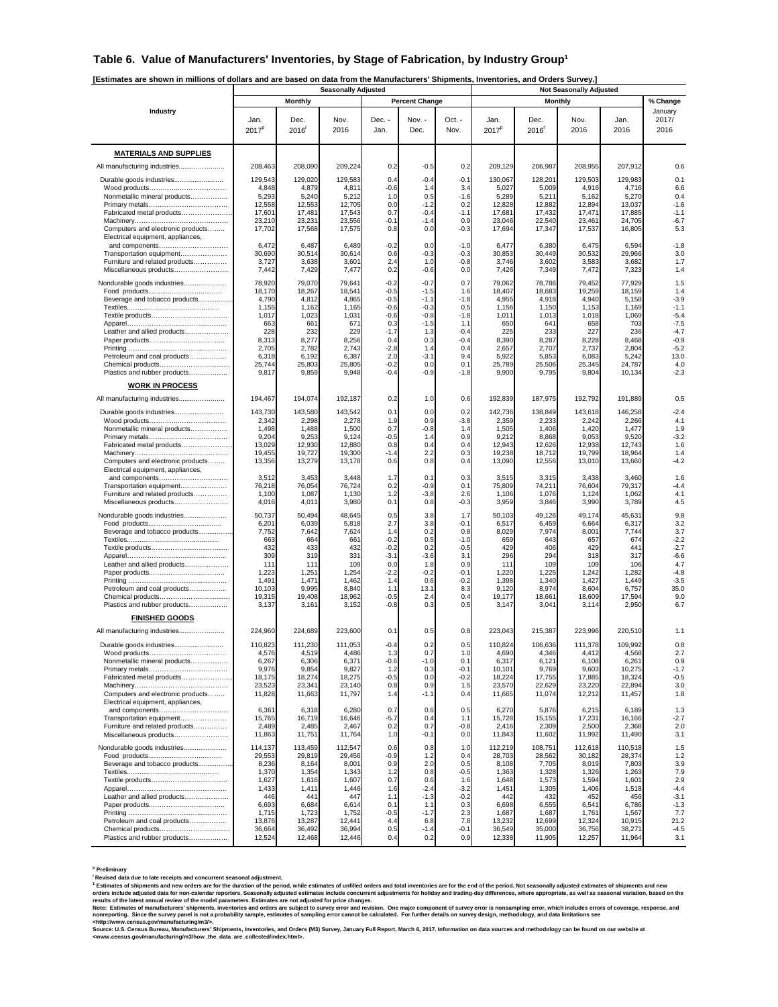#### **Table 6. Value of Manufacturers' Inventories, by Stage of Fabrication, by Industry Group1**

**[Estimates are shown in millions of dollars and are based on data from the Manufacturers' Shipments, Inventories, and Orders Survey.]** 

|                                                                        |                           |                   | <b>Seasonally Adjusted</b> |                  |                       |                |                  |                   | <b>Not Seasonally Adjusted</b> |                  |                  |
|------------------------------------------------------------------------|---------------------------|-------------------|----------------------------|------------------|-----------------------|----------------|------------------|-------------------|--------------------------------|------------------|------------------|
|                                                                        |                           | <b>Monthly</b>    |                            |                  | <b>Percent Change</b> |                |                  |                   | <b>Monthly</b>                 |                  | % Change         |
| Industry                                                               |                           | Dec.              |                            | Dec. -           | Nov. -                | Oct. -         | Jan.             | Dec.              |                                | Jan.             | January<br>2017/ |
|                                                                        | Jan.<br>2017 <sup>p</sup> | 2016 <sup>r</sup> | Nov.<br>2016               | Jan.             | Dec.                  | Nov.           | $2017^p$         | 2016 <sup>r</sup> | Nov.<br>2016                   | 2016             | 2016             |
|                                                                        |                           |                   |                            |                  |                       |                |                  |                   |                                |                  |                  |
| <b>MATERIALS AND SUPPLIES</b>                                          |                           |                   |                            |                  |                       |                |                  |                   |                                |                  |                  |
| All manufacturing industries                                           | 208,463                   | 208,090           | 209,224                    | 0.2              | $-0.5$                | 0.2            | 209,129          | 206,987           | 208,955                        | 207,912          | 0.6              |
|                                                                        |                           |                   |                            |                  |                       |                |                  |                   |                                |                  |                  |
| Durable goods industries                                               | 129,543<br>4,848          | 129,020<br>4,879  | 129,583<br>4,811           | 0.4<br>$-0.6$    | $-0.4$<br>1.4         | $-0.1$<br>3.4  | 130,067<br>5,027 | 128,201<br>5,009  | 129,503<br>4,916               | 129,983<br>4,716 | 0.1<br>6.6       |
| Nonmetallic mineral products                                           | 5,293                     | 5,240             | 5,212                      | 1.0              | 0.5                   | -1.6           | 5,289            | 5,211             | 5,162                          | 5,270            | 0.4              |
|                                                                        | 12,558                    | 12,553            | 12,705                     | 0.0              | -1.2                  | 0.2            | 12,828           | 12,882            | 12,894                         | 13,037           | $-1.6$           |
| Fabricated metal products                                              | 17,601<br>23,210          | 17,481<br>23,231  | 17,543<br>23,556           | 0.7<br>$-0.1$    | $-0.4$<br>-1.4        | $-1.1$<br>0.9  | 17,681<br>23,046 | 17,432<br>22,540  | 17,471<br>23,461               | 17,885<br>24,705 | $-1.1$<br>$-6.7$ |
| Computers and electronic products                                      | 17,702                    | 17,568            | 17,575                     | 0.8              | 0.0                   | $-0.3$         | 17,694           | 17,347            | 17,537                         | 16,805           | 5.3              |
| Electrical equipment, appliances,<br>and components                    | 6,472                     | 6,487             | 6,489                      | $-0.2$           | 0.0                   | $-1.0$         | 6,477            | 6,380             | 6,475                          | 6,594            | $-1.8$           |
| Transportation equipment                                               | 30,690                    | 30,514            | 30,614                     | 0.6              | $-0.3$                | $-0.3$         | 30,853           | 30,449            | 30,532                         | 29,966           | 3.0              |
| Furniture and related products                                         | 3,727                     | 3,638             | 3,601                      | 2.4              | 1.0                   | $-0.8$         | 3,746            | 3,602             | 3,583                          | 3,682            | 1.7              |
| Miscellaneous products                                                 | 7,442                     | 7,429             | 7,477                      | 0.2              | $-0.6$                | 0.0            | 7,426            | 7,349             | 7,472                          | 7,323            | 1.4              |
| Nondurable goods industries                                            | 78,920                    | 79,070<br>18,267  | 79,641                     | $-0.2$           | $-0.7$                | 0.7            | 79,062           | 78,786            | 79,452<br>19,259               | 77,929           | 1.5              |
| Beverage and tobacco products                                          | 18,170<br>4,790           | 4,812             | 18,541<br>4,865            | $-0.5$<br>$-0.5$ | $-1.5$<br>$-1.1$      | 1.6<br>$-1.8$  | 18,407<br>4,955  | 18,683<br>4,918   | 4,940                          | 18,159<br>5,158  | 1.4<br>$-3.9$    |
|                                                                        | 1,155                     | 1,162             | 1,165                      | $-0.6$           | $-0.3$                | 0.5            | 1,156            | 1,150             | 1,153                          | 1,169            | $-1.1$           |
|                                                                        | 1,017<br>663              | 1,023<br>661      | 1,031<br>671               | $-0.6$<br>0.3    | $-0.8$<br>$-1.5$      | $-1.8$<br>1.1  | 1,011<br>650     | 1,013<br>641      | 1,018<br>658                   | 1,069<br>703     | $-5.4$<br>$-7.5$ |
| Leather and allied products                                            | 228                       | 232               | 229                        | $-1.7$           | 1.3                   | $-0.4$         | 225              | 233               | 227                            | 236              | $-4.7$           |
|                                                                        | 8,313                     | 8,277             | 8,256                      | 0.4              | 0.3                   | $-0.4$         | 8,390            | 8,287             | 8,228                          | 8,468            | $-0.9$           |
| Petroleum and coal products                                            | 2,705<br>6,318            | 2,782<br>6,192    | 2,743<br>6,387             | $-2.8$<br>2.0    | 1.4<br>$-3.1$         | 0.4<br>9.4     | 2,657<br>5,922   | 2,707<br>5,853    | 2,737<br>6,083                 | 2,804<br>5,242   | $-5.2$<br>13.0   |
|                                                                        | 25,744                    | 25,803            | 25,805                     | $-0.2$           | 0.0                   | 0.1            | 25,789           | 25,506            | 25,345                         | 24,787           | 4.0              |
| Plastics and rubber products                                           | 9,817                     | 9,859             | 9,948                      | $-0.4$           | $-0.9$                | $-1.8$         | 9,900            | 9,795             | 9,804                          | 10,134           | $-2.3$           |
| <b>WORK IN PROCESS</b>                                                 |                           |                   |                            |                  |                       |                |                  |                   |                                |                  |                  |
| All manufacturing industries                                           | 194,467                   | 194,074           | 192,187                    | 0.2              | 1.0                   | 0.6            | 192,839          | 187,975           | 192,792                        | 191,889          | 0.5              |
| Durable goods industries                                               | 143,730                   | 143,580           | 143,542                    | 0.1              | 0.0                   | 0.2            | 142.736          | 138,849           | 143,618                        | 146,258          | $-2.4$           |
|                                                                        | 2,342                     | 2,298             | 2,278                      | 1.9              | 0.9                   | $-3.8$         | 2,359            | 2,233             | 2,242                          | 2,266            | 4.1              |
| Nonmetallic mineral products                                           | 1,498<br>9,204            | 1,488<br>9,253    | 1,500<br>9,124             | 0.7<br>$-0.5$    | $-0.8$<br>1.4         | 1.4<br>0.9     | 1,505<br>9,212   | 1,406<br>8,868    | 1,420<br>9,053                 | 1,477<br>9,520   | 1.9<br>$-3.2$    |
| Fabricated metal products                                              | 13,029                    | 12,930            | 12,880                     | 0.8              | 0.4                   | 0.4            | 12,943           | 12,626            | 12,938                         | 12,743           | 1.6              |
| Computers and electronic products                                      | 19,455<br>13,356          | 19,727            | 19,300<br>13,178           | -1.4<br>0.6      | 2.2<br>0.8            | 0.3<br>0.4     | 19,238<br>13,090 | 18,712<br>12,556  | 19,799<br>13,010               | 18,964<br>13,660 | 1.4<br>$-4.2$    |
| Electrical equipment, appliances,                                      |                           | 13,279            |                            |                  |                       |                |                  |                   |                                |                  |                  |
| and components                                                         | 3,512                     | 3,453             | 3,448                      | 1.7              | 0.1                   | 0.3            | 3,515            | 3,315             | 3,438                          | 3,460            | 1.6              |
| Transportation equipment<br>Furniture and related products             | 76,218<br>1,100           | 76,054<br>1,087   | 76,724<br>1,130            | 0.2<br>1.2       | $-0.9$<br>-3.8        | 0.1<br>2.6     | 75,809<br>1,106  | 74,211<br>1,076   | 76,604<br>1,124                | 79,317<br>1,062  | $-4.4$<br>4.1    |
| Miscellaneous products                                                 | 4,016                     | 4,011             | 3,980                      | 0.1              | 0.8                   | $-0.3$         | 3,959            | 3,846             | 3,990                          | 3,789            | 4.5              |
| Nondurable goods industries                                            | 50,737                    | 50,494            | 48,645                     | 0.5              | 3.8                   | 1.7            | 50,103           | 49,126            | 49,174                         | 45,631           | 9.8              |
|                                                                        | 6,201                     | 6,039             | 5,818                      | 2.7              | 3.8                   | $-0.1$         | 6,517            | 6,459             | 6,664                          | 6,317            | 3.2              |
| Beverage and tobacco products                                          | 7,752<br>663              | 7,642<br>664      | 7,624<br>661               | 1.4<br>-0.2      | 0.2<br>0.5            | 0.8<br>$-1.0$  | 8,029<br>659     | 7,974<br>643      | 8,001<br>657                   | 7,744<br>674     | 3.7<br>$-2.2$    |
|                                                                        | 432                       | 433               | 432                        | $-0.2$           | 0.2                   | $-0.5$         | 429              | 406               | 429                            | 441              | $-2.7$           |
|                                                                        | 309                       | 319<br>111        | 331<br>109                 | $-3.1$<br>0.0    | $-3.6$                | 3.1<br>0.9     | 296<br>111       | 294<br>109        | 318<br>109                     | 317<br>106       | $-6.6$<br>4.7    |
| Leather and allied products                                            | 111<br>1,223              | 1,251             | 1,254                      | $-2.2$           | 1.8<br>$-0.2$         | $-0.1$         | 1,220            | 1,225             | 1,242                          | 1,282            | $-4.8$           |
|                                                                        | 1,491                     | 1,471             | 1,462                      | 1.4              | 0.6                   | $-0.2$         | 1,398            | 1,340             | 1,427                          | 1,449            | $-3.5$           |
| Petroleum and coal products                                            | 10,103<br>19,315          | 9,995<br>19,408   | 8,840<br>18,962            | 1.1<br>$-0.5$    | 13.1<br>2.4           | 8.3<br>0.4     | 9,120<br>19,177  | 8,974<br>18,66    | 8,604<br>18,609                | 6,757<br>17,594  | 35.0<br>9.0      |
| Plastics and rubber products                                           | 3,137                     | 3,161             | 3,152                      | $-0.8$           | 0.3                   | 0.5            | 3,147            | 3,041             | 3,114                          | 2,950            | 6.7              |
| <b>FINISHED GOODS</b>                                                  |                           |                   |                            |                  |                       |                |                  |                   |                                |                  |                  |
| All manufacturing industries                                           | 224,960                   | 224,689           | 223,600                    | 0.1              | 0.5                   | 0.8            | 223,043          | 215,387           | 223,996                        | 220,510          | 1.1              |
| Durable goods industries                                               | 110,823                   | 111,230           | 111,053                    | $-0.4$           | 0.2                   | 0.5            | 110,824          | 106.636           | 111,378                        | 109,992          | 0.8              |
| Wood products                                                          | 4,57                      | 4.519             | 4,486                      | 1.2              | 0 <sub>7</sub>        | 1 <sub>0</sub> | 4.690            | 4.346             | 4412                           | 4.568            | 27               |
| Nonmetallic mineral products                                           | 6,267<br>9,976            | 6,306<br>9,854    | 6,371<br>9,827             | $-0.6$<br>1.2    | $-1.0$<br>0.3         | 0.1<br>$-0.1$  | 6,317<br>10,101  | 6,121<br>9,769    | 6,108<br>9,603                 | 6,261<br>10,275  | 0.9<br>$-1.7$    |
| Fabricated metal products                                              | 18,175                    | 18,274            | 18,275                     | $-0.5$           | 0.0                   | $-0.2$         | 18,224           | 17,755            | 17,885                         | 18,324           | $-0.5$           |
|                                                                        | 23,523                    | 23,341            | 23,140                     | 0.8              | 0.9                   | 1.5            | 23,570           | 22,629            | 23,220                         | 22,894           | 3.0              |
| Computers and electronic products<br>Electrical equipment, appliances, | 11,828                    | 11,663            | 11,797                     | 1.4              | $-1.1$                | 0.4            | 11,665           | 11,074            | 12,212                         | 11,457           | 1.8              |
| and components                                                         | 6,361                     | 6,318             | 6,280                      | 0.7              | 0.6                   | 0.5            | 6,270            | 5,876             | 6,215                          | 6,189            | 1.3              |
| Transportation equipment                                               | 15,765                    | 16,719            | 16,646                     | $-5.7$           | 0.4                   | 1.1            | 15,728           | 15,155            | 17,231                         | 16,166           | $-2.7$           |
| Furniture and related products<br>Miscellaneous products               | 2,489<br>11,863           | 2,485<br>11,751   | 2,467<br>11,764            | 0.2<br>1.0       | 0.7<br>$-0.1$         | $-0.8$<br>0.0  | 2,416<br>11,843  | 2,309<br>11,602   | 2,500<br>11,992                | 2,368<br>11,490  | 2.0<br>3.1       |
| Nondurable goods industries                                            | 114,137                   | 113,459           | 112,547                    | 0.6              | 0.8                   | 1.0            | 112,219          | 108,751           | 112,618                        | 110,518          | 1.5              |
|                                                                        | 29,553                    | 29,819            | 29,456                     | $-0.9$           | 1.2                   | 0.4            | 28,703           | 28,562            | 30,182                         | 28,374           | 1.2              |
| Beverage and tobacco products                                          | 8,236                     | 8,164             | 8,001                      | 0.9              | 2.0                   | 0.5            | 8,108            | 7,705             | 8,019                          | 7,803            | 3.9              |
|                                                                        | 1,370<br>1,627            | 1,354<br>1,616    | 1,343<br>1,607             | 1.2<br>0.7       | 0.8<br>0.6            | $-0.5$<br>1.6  | 1,363<br>1,648   | 1,328<br>1,573    | 1,326<br>1,594                 | 1,263<br>1,601   | 7.9<br>2.9       |
|                                                                        | 1,433                     | 1,411             | 1,446                      | 1.6              | $-2.4$                | $-3.2$         | 1,451            | 1,305             | 1,406                          | 1,518            | $-4.4$           |
| Leather and allied products                                            | 446                       | 441               | 447                        | 1.1              | $-1.3$                | $-0.2$<br>0.3  | 442<br>6,698     | 432               | 452                            | 456              | $-3.1$           |
|                                                                        | 6,693<br>1,715            | 6,684<br>1,723    | 6,614<br>1,752             | 0.1<br>$-0.5$    | 1.1<br>$-1.7$         | 2.3            | 1,687            | 6,555<br>1,687    | 6,541<br>1,761                 | 6,786<br>1,567   | $-1.3$<br>7.7    |
| Petroleum and coal products                                            | 13,876                    | 13,287            | 12,441                     | 4.4              | 6.8                   | 7.8            | 13,232           | 12,699            | 12,324                         | 10,915           | 21.2             |
| Chemical products<br>Plastics and rubber products                      | 36,664<br>12,524          | 36,492<br>12,468  | 36,994<br>12,446           | 0.5<br>0.4       | $-1.4$<br>0.2         | $-0.1$<br>0.9  | 36,549<br>12,338 | 35,000<br>11,905  | 36,756<br>12,257               | 38,271<br>11,964 | $-4.5$<br>3.1    |
|                                                                        |                           |                   |                            |                  |                       |                |                  |                   |                                |                  |                  |

**p Preliminary** 

"Revised data due to late receipts and concurrent seasonal adjustment.<br>"Estimates of shipments and new orders are for the duration of the period, while estimates of unfilled orders and total inventories are for the end of